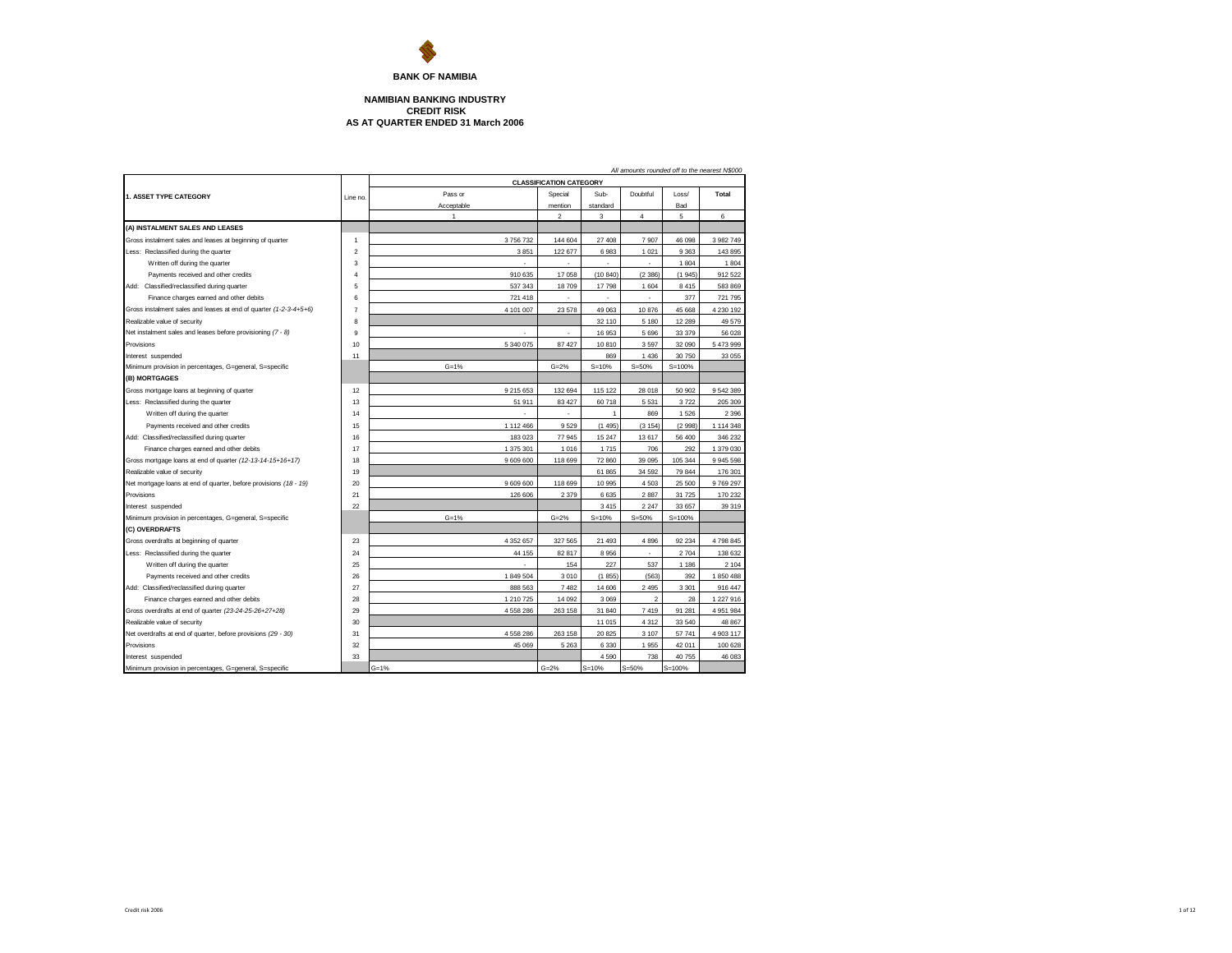

## **AS AT QUARTER ENDED 31 March 2006 NAMIBIAN BANKING INDUSTRY CREDIT RISK**

|                                                                   | All amounts rounded off to the nearest N\$000 |                |                                |              |                |            |           |  |  |  |  |
|-------------------------------------------------------------------|-----------------------------------------------|----------------|--------------------------------|--------------|----------------|------------|-----------|--|--|--|--|
|                                                                   |                                               |                | <b>CLASSIFICATION CATEGORY</b> |              |                |            |           |  |  |  |  |
| 1. ASSET TYPE CATEGORY                                            | Line no                                       | Pass or        | Special                        | Sub-         | Doubtful       | Loss/      | Total     |  |  |  |  |
|                                                                   |                                               | Acceptable     | mention                        | standard     |                | Bad        |           |  |  |  |  |
|                                                                   |                                               | $\overline{1}$ | $\overline{2}$                 | 3            | 4              | 5          | 6         |  |  |  |  |
| (A) INSTALMENT SALES AND LEASES                                   |                                               |                |                                |              |                |            |           |  |  |  |  |
| Gross instalment sales and leases at beginning of quarter         | 1                                             | 3756732        | 144 604                        | 27 408       | 7907           | 46 098     | 3 982 749 |  |  |  |  |
| Less: Reclassified during the quarter                             | $\overline{2}$                                | 3851           | 122 677                        | 6983         | 1 0 2 1        | 9363       | 143 895   |  |  |  |  |
| Written off during the quarter                                    | 3                                             | ä,             | ÷                              |              | ×.             | 1804       | 1804      |  |  |  |  |
| Payments received and other credits                               | $\overline{4}$                                | 910 635        | 17 058                         | (10.840)     | (2386)         | (1945)     | 912 522   |  |  |  |  |
| Add: Classified/reclassified during quarter                       | 5                                             | 537 343        | 18709                          | 17798        | 1 604          | 8415       | 583 869   |  |  |  |  |
| Finance charges earned and other debits                           | 6                                             | 721 418        |                                |              |                | 377        | 721 795   |  |  |  |  |
| Gross instalment sales and leases at end of quarter (1-2-3-4+5+6) | $\overline{7}$                                | 4 101 007      | 23 578                         | 49 063       | 10876          | 45 668     | 4 230 192 |  |  |  |  |
| Realizable value of security                                      | 8                                             |                |                                | 32 110       | 5 180          | 12 2 8 9   | 49 579    |  |  |  |  |
| Net instalment sales and leases before provisioning (7 - 8)       | 9                                             |                |                                | 16 953       | 5696           | 33 379     | 56 028    |  |  |  |  |
| Provisions                                                        | 10                                            | 5 340 075      | 87 427                         | 10810        | 3597           | 32 090     | 5473999   |  |  |  |  |
| Interest suspended                                                | 11                                            |                |                                | 869          | 1 4 3 6        | 30 750     | 33 055    |  |  |  |  |
| Minimum provision in percentages, G=general, S=specific           |                                               | $G = 1%$       | $G = 2%$                       | $S = 10%$    | $S = 50%$      | $S = 100%$ |           |  |  |  |  |
| (B) MORTGAGES                                                     |                                               |                |                                |              |                |            |           |  |  |  |  |
| Gross mortgage loans at beginning of quarter                      | 12                                            | 9 215 653      | 132 694                        | 115 122      | 28 018         | 50 902     | 9 542 389 |  |  |  |  |
| Less: Reclassified during the quarter                             | 13                                            | 51 911         | 83 427                         | 60718        | 5531           | 3722       | 205 309   |  |  |  |  |
| Written off during the quarter                                    | 14                                            |                |                                | $\mathbf{1}$ | 869            | 1526       | 2 3 9 6   |  |  |  |  |
| Payments received and other credits                               | 15                                            | 1 112 466      | 9529                           | (1495)       | (3154)         | (2998)     | 1 114 348 |  |  |  |  |
| Add: Classified/reclassified during quarter                       | 16                                            | 183 023        | 77 945                         | 15 247       | 13 617         | 56 400     | 346 232   |  |  |  |  |
| Finance charges earned and other debits                           | 17                                            | 1 375 301      | 1016                           | 1715         | 706            | 292        | 1 379 030 |  |  |  |  |
| Gross mortgage loans at end of quarter (12-13-14-15+16+17)        | 18                                            | 9 609 600      | 118 699                        | 72 860       | 39 095         | 105 344    | 9 945 598 |  |  |  |  |
| Realizable value of security                                      | 19                                            |                |                                | 61 865       | 34 5 9 2       | 79 844     | 176 301   |  |  |  |  |
| Net mortgage loans at end of quarter, before provisions (18 - 19) | 20                                            | 9 609 600      | 118 699                        | 10 995       | 4503           | 25 500     | 9769297   |  |  |  |  |
| Provisions                                                        | 21                                            | 126 606        | 2 3 7 9                        | 6635         | 2887           | 31725      | 170 232   |  |  |  |  |
| Interest suspended                                                | 22                                            |                |                                | 3415         | 2 2 4 7        | 33 657     | 39 319    |  |  |  |  |
| Minimum provision in percentages, G=general, S=specific           |                                               | $G = 1%$       | $G = 2%$                       | $S = 10%$    | $S = 50%$      | $S = 100%$ |           |  |  |  |  |
| (C) OVERDRAFTS                                                    |                                               |                |                                |              |                |            |           |  |  |  |  |
| Gross overdrafts at beginning of quarter                          | 23                                            | 4 3 5 2 6 5 7  | 327 565                        | 21 4 9 3     | 4896           | 92 234     | 4798845   |  |  |  |  |
| Less: Reclassified during the quarter                             | 24                                            | 44 155         | 82 817                         | 8956         |                | 2704       | 138 632   |  |  |  |  |
| Written off during the quarter                                    | 25                                            |                | 154                            | 227          | 537            | 1 1 8 6    | 2 104     |  |  |  |  |
| Payments received and other credits                               | 26                                            | 1 849 504      | 3 0 1 0                        | (1855)       | (563)          | 392        | 1850488   |  |  |  |  |
| Add: Classified/reclassified during quarter                       | 27                                            | 888 563        | 7482                           | 14 60 6      | 2 4 9 5        | 3 3 0 1    | 916 447   |  |  |  |  |
| Finance charges earned and other debits                           | 28                                            | 1 210 725      | 14 092                         | 3 0 6 9      | $\overline{2}$ | 28         | 1 227 916 |  |  |  |  |
| Gross overdrafts at end of quarter (23-24-25-26+27+28)            | 29                                            | 4 558 286      | 263 158                        | 31 840       | 7419           | 91 281     | 4 951 984 |  |  |  |  |
| Realizable value of security                                      | 30                                            |                |                                | 11 015       | 4 3 1 2        | 33 540     | 48 867    |  |  |  |  |
| Net overdrafts at end of quarter, before provisions (29 - 30)     | 31                                            | 4 558 286      | 263 158                        | 20 825       | 3 1 0 7        | 57741      | 4 903 117 |  |  |  |  |
| Provisions                                                        | 32                                            | 45 069         | 5 2 6 3                        | 6 3 3 0      | 1955           | 42 011     | 100 628   |  |  |  |  |
| Interest suspended                                                | 33                                            |                |                                | 4 5 9 0      | 738            | 40755      | 46 083    |  |  |  |  |
| Minimum provision in percentages, G=general, S=specific           |                                               | $G = 1%$       | $G = 2%$                       | $S = 10%$    | $S = 50%$      | $S = 100%$ |           |  |  |  |  |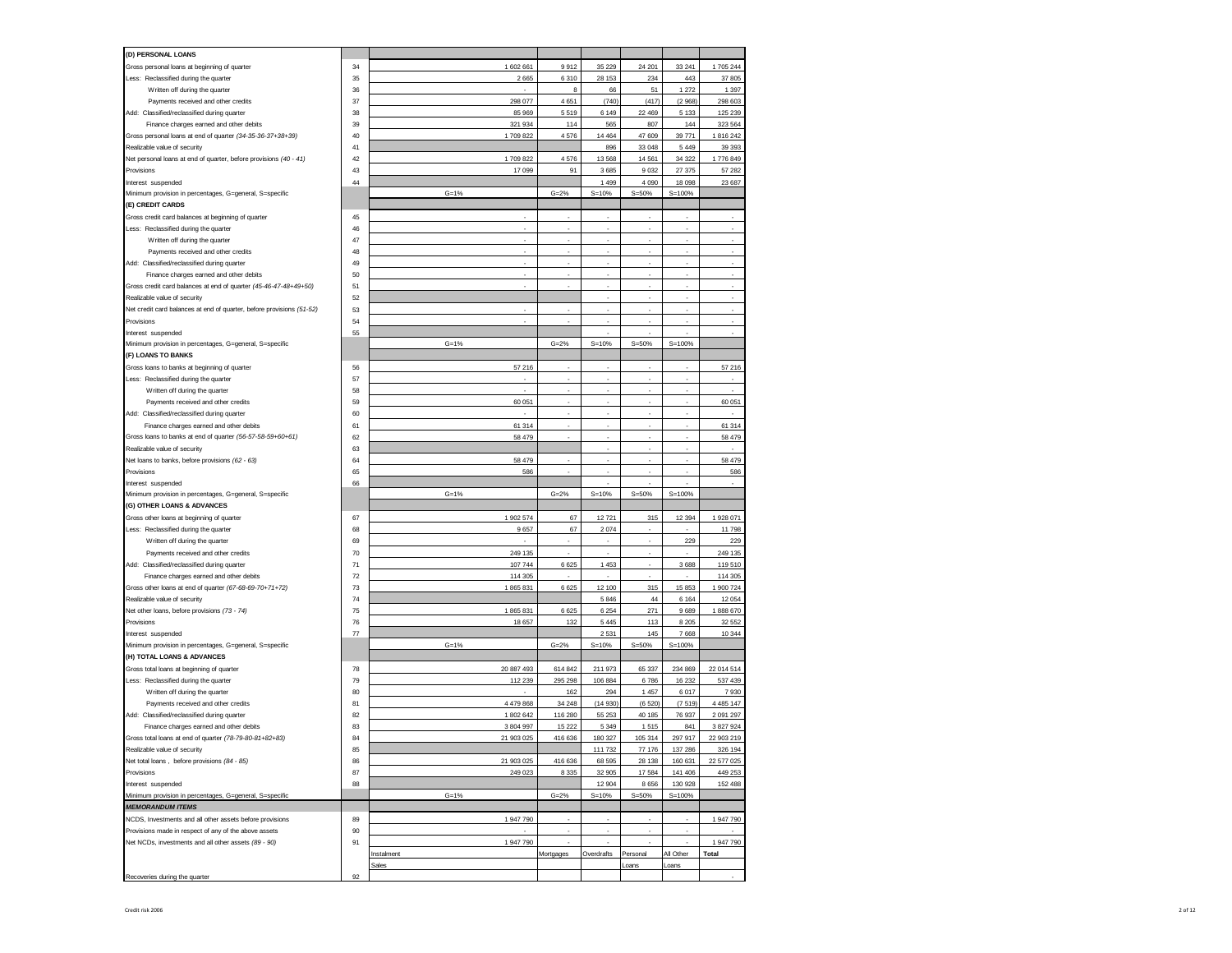| (D) PERSONAL LOANS                                                    |    |            |           |                    |           |            |               |
|-----------------------------------------------------------------------|----|------------|-----------|--------------------|-----------|------------|---------------|
|                                                                       | 34 |            | 9912      |                    | 24 201    | 33 241     |               |
| Gross personal loans at beginning of quarter                          |    | 1 602 661  |           | 35 229             |           |            | 1705 244      |
| Less: Reclassified during the quarter                                 | 35 | 2665       | 6 3 1 0   | 28 153             | 234       | 443        | 37 805        |
| Written off during the quarter                                        | 36 |            | 8         | 66                 | 51        | 1 2 7 2    | 1 3 9 7       |
| Payments received and other credits                                   | 37 | 298 077    | 4 6 5 1   | (740)              | (417)     | (2968)     | 298 603       |
| Add: Classified/reclassified during quarter                           | 38 | 85 969     | 5519      | 6 1 4 9            | 22 469    | 5 1 3 3    | 125 239       |
| Finance charges earned and other debits                               | 39 | 321 934    | 114       | 565                | 807       | 144        | 323 564       |
| Gross personal loans at end of quarter (34-35-36-37+38+39)            | 40 | 1709822    | 4576      | 14 4 64            | 47 609    | 39771      | 1816242       |
| Realizable value of security                                          | 41 |            |           | 896                | 33 048    | 5 4 4 9    | 39 39 3       |
| Net personal loans at end of quarter, before provisions (40 - 41)     | 42 | 1709822    | 4576      | 13 5 68            | 14 5 61   | 34 3 22    | 1776 849      |
| Provisions                                                            | 43 | 17 099     | 91        | 3685               | 9032      | 27 375     | 57 282        |
| Interest suspended                                                    | 44 |            |           | 1 4 9 9            | 4 0 9 0   | 18 0 98    | 23 687        |
| Minimum provision in percentages, G=general, S=specific               |    | $G = 1%$   | $G = 2%$  | $S = 10%$          | $S = 50%$ | $S = 100%$ |               |
| (E) CREDIT CARDS                                                      |    |            |           |                    |           |            |               |
|                                                                       |    |            | ×.        | ×.                 | ÷         |            |               |
| Gross credit card balances at beginning of quarter                    | 45 |            |           |                    |           |            |               |
| Less: Reclassified during the quarter                                 | 46 |            | ×.        | à,                 | ä,        |            | $\epsilon$    |
| Written off during the quarter                                        | 47 | ÷.         |           | ٠                  | ä,        | ł.         | ×             |
| Payments received and other credits                                   | 48 |            |           |                    | ×.        |            |               |
| Add: Classified/reclassified during quarter                           | 49 | ÷          | ×.        | ×.                 | ä,        |            |               |
| Finance charges earned and other debits                               | 50 |            |           |                    |           |            | ×.            |
| Gross credit card balances at end of quarter (45-46-47-48+49+50)      | 51 | ×.         | ×.        | ×                  | ÷         | ł.         | ×             |
| Realizable value of security                                          | 52 |            |           |                    |           |            |               |
| Net credit card balances at end of quarter, before provisions (51-52) | 53 |            |           | ×                  | ٠         | i.         |               |
| Provisions                                                            | 54 |            |           |                    |           |            |               |
| Interest suspended                                                    | 55 |            |           | ٠                  | ×.        | i.         | ł.            |
| Minimum provision in percentages, G=general, S=specific               |    | $G = 1%$   | $G = 2%$  | $S = 10%$          | $S = 50%$ | $S = 100%$ |               |
|                                                                       |    |            |           |                    |           |            |               |
| (F) LOANS TO BANKS                                                    |    |            |           |                    |           |            |               |
| Gross loans to banks at beginning of quarter                          | 56 | 57 216     |           |                    |           |            | 57 216        |
| Less: Reclassified during the quarter                                 | 57 |            | ×,        | ×,                 | ä,        | ×,         | ٠             |
| Written off during the quarter                                        | 58 |            |           |                    |           |            |               |
| Payments received and other credits                                   | 59 | 60 051     | ×,        | ×,                 | ä,        |            | 60 051        |
| Add: Classified/reclassified during quarter                           | 60 |            |           |                    |           |            |               |
| Finance charges earned and other debits                               | 61 | 61 314     | ×,        | ×,                 | ä,        | ×,         | 61 314        |
| Gross loans to banks at end of quarter (56-57-58-59+60+61)            | 62 | 58 479     |           |                    | ä,        |            | 58 479        |
| Realizable value of security                                          | 63 |            |           | ×                  | ×,        |            |               |
| Net loans to banks, before provisions (62 - 63)                       | 64 | 58 479     |           |                    |           |            | 58 479        |
|                                                                       |    |            |           |                    |           |            |               |
|                                                                       |    |            | ×.        |                    |           |            |               |
| Provisions                                                            | 65 | 586        |           |                    | ä,        |            | 586           |
| Interest suspended                                                    | 66 |            |           |                    |           |            |               |
| Minimum provision in percentages, G=general, S=specific               |    | $G = 1%$   | $G = 2%$  | $S = 10%$          | $S = 50%$ | $S = 100%$ |               |
| (G) OTHER LOANS & ADVANCES                                            |    |            |           |                    |           |            |               |
| Gross other loans at beginning of quarter                             | 67 | 1 902 574  | 67        | 12721              | 315       | 12 3 94    | 1 928 071     |
| Less: Reclassified during the quarter                                 | 68 | 9657       | 67        | 2074               | ×.        |            | 11 798        |
| Written off during the quarter                                        | 69 |            |           |                    | ٠         | 229        | 229           |
| Payments received and other credits                                   | 70 | 249 135    |           | ×                  | ä,        |            | 249 135       |
| Add: Classified/reclassified during quarter                           | 71 | 107 744    | 6 6 25    | 1 4 5 3            | ä,        | 3688       | 119510        |
| Finance charges earned and other debits                               | 72 | 114 305    |           |                    |           |            | 114 305       |
| Gross other loans at end of quarter (67-68-69-70+71+72)               | 73 | 1865831    | 6 6 25    | 12 100             | 315       | 15 853     | 1 900 724     |
|                                                                       | 74 |            |           |                    | 44        | 6 1 6 4    |               |
| Realizable value of security                                          | 75 |            | 6 6 2 5   | 5 8 4 6<br>6 2 5 4 | 271       | 9689       | 12 054        |
| Net other loans, before provisions (73 - 74)<br>Provisions            | 76 | 1865831    |           |                    |           |            | 1888670       |
|                                                                       |    | 18 657     | 132       | 5 4 4 5            | 113       | 8 2 0 5    | 32 552        |
| Interest suspended                                                    | 77 |            |           | 2531               | 145       | 7668       | 10 344        |
| Minimum provision in percentages, G=general, S=specific               |    | $G = 1%$   | $G = 2%$  | $S = 10%$          | $S = 50%$ | $S = 100%$ |               |
| (H) TOTAL LOANS & ADVANCES                                            |    |            |           |                    |           |            |               |
| Gross total loans at beginning of quarter                             | 78 | 20 887 493 | 614 842   | 211 973            | 65 337    | 234 869    | 22 014 514    |
| Less: Reclassified during the quarter                                 | 79 | 112 239    | 295 298   | 106 884            | 6786      | 16 232     | 537 439       |
| Written off during the quarter                                        | 80 |            | 162       | 294                | 1 4 5 7   | 6017       | 7930          |
| Payments received and other credits                                   | 81 | 4 479 868  | 34 248    | (14930)            | (6520)    | (7519)     | 4 4 8 5 1 4 7 |
| Add: Classified/reclassified during quarter                           | 82 | 1 802 642  | 116 280   | 55 253             | 40 185    | 76 937     | 2 091 297     |
| Finance charges earned and other debits                               | 83 | 3 804 997  | 15 222    | 5 3 4 9            | 1515      | 841        | 3 827 924     |
| Gross total loans at end of quarter (78-79-80-81+82+83)               | 84 | 21 903 025 | 416 636   | 180 327            | 105 314   | 297 917    | 22 903 219    |
| Realizable value of security                                          | 85 |            |           | 111 732            | 77 176    | 137 286    | 326 194       |
| Net total loans, before provisions (84 - 85)                          | 86 | 21 903 025 | 416 636   | 68 595             | 28 138    | 160 631    | 22 577 025    |
|                                                                       | 87 |            |           |                    |           |            |               |
| Provisions                                                            |    | 249 023    | 8 3 3 5   | 32 905             | 17 584    | 141 406    | 449 253       |
| Interest suspended                                                    | 88 |            |           | 12 904             | 8656      | 130 928    | 152 488       |
| Minimum provision in percentages, G=general, S=specific               |    | $G = 1%$   | $G = 2%$  | $S = 10%$          | $S = 50%$ | $S = 100%$ |               |
| <b>MEMORANDUM ITEMS</b>                                               |    |            |           |                    |           |            |               |
| NCDS, Investments and all other assets before provisions              | 89 | 1 947 790  |           | ×.                 | ÷         | ÷          | 1 947 790     |
| Provisions made in respect of any of the above assets                 | 90 |            |           |                    |           |            |               |
| Net NCDs, investments and all other assets (89 - 90)                  | 91 | 1 947 790  |           | ×.                 | ÷         |            | 1 947 790     |
|                                                                       |    | Instalment | Mortgages | Overdrafts         | Personal  | All Other  | Total         |
|                                                                       |    | Sales      |           |                    | Loans     | oans       |               |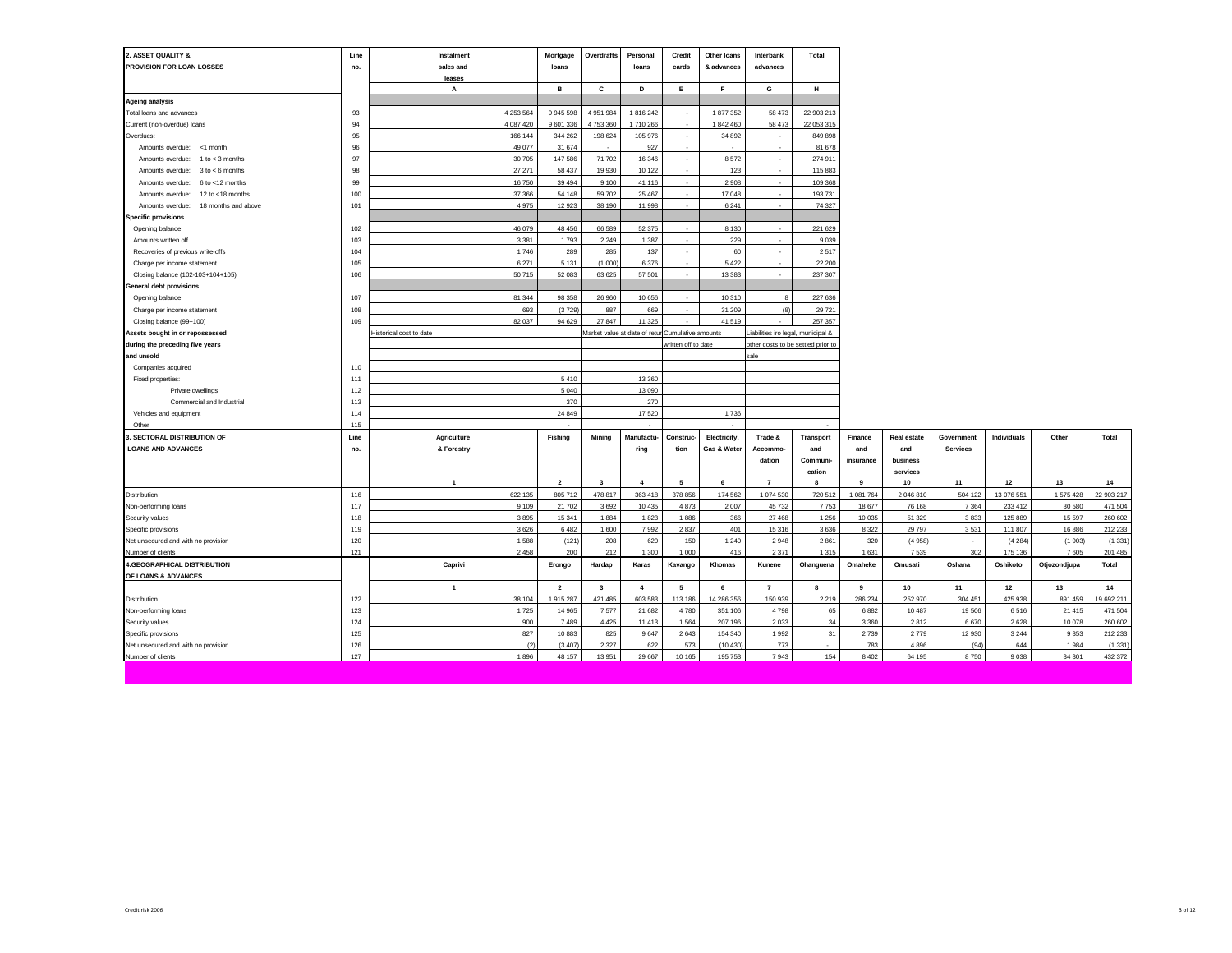| 2. ASSET QUALITY &<br>PROVISION FOR LOAN LOSSES | Line<br>no. | Instalment<br>sales and | Mortgage<br>loans | Overdrafts              | Personal<br>loans                                | Credit<br>cards          | Other loans<br>& advances | Interbank<br>advances              | Total           |                |                |                 |               |                |            |
|-------------------------------------------------|-------------|-------------------------|-------------------|-------------------------|--------------------------------------------------|--------------------------|---------------------------|------------------------------------|-----------------|----------------|----------------|-----------------|---------------|----------------|------------|
|                                                 |             | leases                  |                   |                         |                                                  |                          |                           |                                    |                 |                |                |                 |               |                |            |
|                                                 |             | A                       | в                 | С                       | D                                                | Ε.                       | F                         | G                                  | н               |                |                |                 |               |                |            |
| <b>Ageing analysis</b>                          |             |                         |                   |                         |                                                  |                          |                           |                                    |                 |                |                |                 |               |                |            |
| Total loans and advances                        | 93          | 4 253 564               | 9 945 598         | 4 951 984               | 1 816 242                                        |                          | 1 877 352                 | 58 473                             | 22 903 213      |                |                |                 |               |                |            |
| Current (non-overdue) loans                     | 94          | 4 087 420               | 9 601 336         | 4753360                 | 1710 266                                         | $\sim$                   | 1842460                   | 58 473                             | 22 053 315      |                |                |                 |               |                |            |
| Overdues:                                       | 95          | 166 144                 | 344 262           | 198 624                 | 105 976                                          | $\sim$                   | 34 892                    | $\sim$                             | 849 898         |                |                |                 |               |                |            |
| Amounts overdue:<br><1 month                    | 96          | 49 077                  | 31 674            |                         | 927                                              | $\sim$                   |                           |                                    | 81 678          |                |                |                 |               |                |            |
| $1 to < 3$ months<br>Amounts overdue:           | 97          | 30 705                  | 147 586           | 71 702                  | 16 34 6                                          | ÷                        | 8572                      |                                    | 274 911         |                |                |                 |               |                |            |
| $3$ to $\leq 6$ months<br>Amounts overdue:      | 98          | 27 27 1                 | 58 437            | 19 9 30                 | 10 122                                           | $\sim$                   | 123                       | $\sim$                             | 115 883         |                |                |                 |               |                |            |
| 6 to <12 months<br>Amounts overdue:             | 99          | 16750                   | 39 4 94           | 9 1 0 0                 | 41 116                                           | ٠                        | 2 9 0 8                   |                                    | 109 368         |                |                |                 |               |                |            |
| 12 to <18 months<br>Amounts overdue:            | 100         | 37 366                  | 54 148            | 59 702                  | 25 467                                           | $\sim$                   | 17 048                    | $\sim$                             | 193 731         |                |                |                 |               |                |            |
| Amounts overdue:<br>18 months and above         | 101         | 4 9 7 5                 | 12 923            | 38 190                  | 11 998                                           |                          | 6 2 4 1                   |                                    | 74 327          |                |                |                 |               |                |            |
| <b>Specific provisions</b>                      |             |                         |                   |                         |                                                  |                          |                           |                                    |                 |                |                |                 |               |                |            |
| Opening balance                                 | 102         | 46 079                  | 48 45 6           | 66 589                  | 52 375                                           | ٠                        | 8 1 3 0                   | $\sim$                             | 221 629         |                |                |                 |               |                |            |
| Amounts written off                             | 103         | 3 3 8 1                 | 1793              | 2 2 4 9                 | 1 3 8 7                                          |                          | 229                       |                                    | 9 0 3 9         |                |                |                 |               |                |            |
| Recoveries of previous write-offs               | 104         | 1746                    | 289               | 285                     | 137                                              |                          | 60                        |                                    | 2517            |                |                |                 |               |                |            |
| Charge per income statement                     | 105         | 6 2 7 1                 | 5 1 3 1           | (1000)                  | 6376                                             | $\sim$                   | 5 4 2 2                   | $\sim$                             | 22 200          |                |                |                 |               |                |            |
| Closing balance (102-103+104+105)               | 106         | 50 715                  | 52 083            | 63 625                  | 57 501                                           | ٠                        | 13 3 8 3                  |                                    | 237 307         |                |                |                 |               |                |            |
| <b>General debt provisions</b>                  |             |                         |                   |                         |                                                  |                          |                           |                                    |                 |                |                |                 |               |                |            |
| Opening balance                                 | 107         | 81 344                  | 98 358            | 26 960                  | 10 656                                           | $\sim$                   | 10 310                    | 8                                  | 227 636         |                |                |                 |               |                |            |
| Charge per income statement                     | 108         | 693                     | (3729)            | 887                     | 669                                              | $\overline{\phantom{a}}$ | 31 209                    | (8)                                | 29 7 21         |                |                |                 |               |                |            |
| Closing balance (99+100)                        | 109         | 82 037                  | 94 629            | 27 847                  | 11 325                                           |                          | 41 519                    |                                    | 257 357         |                |                |                 |               |                |            |
| Assets bought in or repossessed                 |             | listorical cost to date |                   |                         | Market value at date of retur Cumulative amounts |                          |                           | iabilities iro legal, municipal &  |                 |                |                |                 |               |                |            |
| during the preceding five years                 |             |                         |                   |                         |                                                  | written off to date      |                           | other costs to be settled prior to |                 |                |                |                 |               |                |            |
| and unsold                                      |             |                         |                   |                         |                                                  |                          |                           | sale                               |                 |                |                |                 |               |                |            |
| Companies acquired                              | 110         |                         |                   |                         |                                                  |                          |                           |                                    |                 |                |                |                 |               |                |            |
| Fixed properties:                               | 111         |                         | 5410              |                         | 13 3 60                                          |                          |                           |                                    |                 |                |                |                 |               |                |            |
| Private dwellings                               | 112         |                         | 5 0 4 0           |                         | 13 090                                           |                          |                           |                                    |                 |                |                |                 |               |                |            |
| Commercial and Industrial                       | 113         |                         | 370               |                         | 270                                              |                          |                           |                                    |                 |                |                |                 |               |                |            |
| Vehicles and equipment                          | 114         |                         | 24 849            |                         | 17520                                            |                          | 1736                      |                                    |                 |                |                |                 |               |                |            |
| Other                                           | 115         |                         |                   |                         |                                                  |                          |                           |                                    |                 |                |                |                 |               |                |            |
| . SECTORAL DISTRIBUTION OF                      | Line        | Agriculture             | Fishing           | Mining                  | Manufactu-                                       | Construc-                | Electricity,              | Trade &                            | Transport       | Finance        | Real estate    | Government      | Individuals   | Other          | Total      |
| <b>LOANS AND ADVANCES</b>                       | no.         | & Forestry              |                   |                         | ring                                             | tion                     | Gas & Water               | Accommo-                           | and             | and            | and            | <b>Services</b> |               |                |            |
|                                                 |             |                         |                   |                         |                                                  |                          |                           | dation                             | <b>Communi-</b> | insurance      | business       |                 |               |                |            |
|                                                 |             |                         |                   |                         |                                                  |                          |                           |                                    | cation          |                | services       |                 |               |                |            |
|                                                 |             | $\overline{1}$          | $\overline{2}$    | $\overline{\mathbf{3}}$ | $\overline{4}$                                   | 5                        | 6                         | $\overline{7}$                     | 8               | 9              | 10             | 11              | 12            | 13             | 14         |
| Distribution                                    | 116         | 622 135                 | 805 712           | 478 817                 | 363 418                                          | 378 856                  | 174 562                   | 1 074 530                          | 720 512         | 1 081 764      | 2 046 810      | 504 122         | 13 076 551    | 1 575 428      | 22 903 217 |
| Non-performing loans                            | 117         | 9 1 0 9                 | 21 702            | 3692                    | 10 4 35                                          | 4873                     | 2 0 0 7                   | 45 7 32                            | 7753            | 18 677         | 76 168         | 7 3 6 4         | 233 412       | 30 580         | 471 504    |
| Security values                                 | 118         | 3895                    | 15 341            | 1884                    | 1823                                             | 1886                     | 366                       | 27 4 68                            | 1 2 5 6         | 10 035         | 51 329         | 3833            | 125 889       | 15 5 97        | 260 602    |
| Specific provisions                             | 119         | 3626                    | 6 4 8 2           | 1 600                   | 7992                                             | 2837                     | 401                       | 15316                              | 3636            | 8 3 2 2        | 29 7 9 7       | 3531            | 111 807       | 16 886         | 212 233    |
| Net unsecured and with no provision             | 120         | 1588                    | (121)             | 208                     | 620                                              | 150                      | 1 2 4 0                   | 2948                               | 2861            | 320            | (4958)         | ٠               | (4284)        | (1903)         | (1331)     |
| Number of clients                               | 121         | 2458                    | 200               | 212                     | 1 300                                            | 1000                     | 416                       | 2371                               | 1 3 1 5         | 1631           | 7 5 3 9        | 302             | 175 136       | 7605           | 201 485    |
| 4.GEOGRAPHICAL DISTRIBUTION                     |             | Caprivi                 | Erongo            | Hardap                  | Karas                                            | Kavango                  | Khomas                    | Kunene                             | Ohanguena       | Omaheke        | Omusati        | Oshana          | Oshikoto      | Otjozondjupa   | Total      |
| OF LOANS & ADVANCES                             |             |                         |                   |                         |                                                  |                          |                           |                                    |                 |                |                |                 |               |                |            |
|                                                 |             | $\mathbf{1}$            | $\overline{2}$    | 3                       | 4                                                | 5                        | 6                         | $\overline{7}$                     | 8               | 9              | 10             | 11              | 12            | 13             | 14         |
| Distribution                                    | 122         | 38 104                  | 1915 287          | 421 485                 | 603 583                                          | 113 186                  | 14 286 356                | 150 939                            | 2 2 1 9         | 286 234        | 252 970        | 304 451         | 425 938       | 891 459        | 19 692 211 |
| Non-performing loans                            | 123         | 1725                    | 14 9 65           | 7577                    | 21 682                                           | 4780                     | 351 106                   | 4798                               | 65              | 6882           | 10 487         | 19506           | 6516          | 21 4 15        | 471 504    |
| Security values                                 | 124         | 900                     | 7489              | 4 4 2 5                 | 11 413                                           | 1564                     | 207 196                   | 2033                               | 34              | 3 3 6 0        | 2812           | 6670            | 2628          | 10 078         | 260 602    |
| Specific provisions                             | 125         | 827                     | 10883             | 825                     | 9647                                             | 2643                     | 154 340                   | 1992                               | 31              | 2739           | 2779           | 12 930          | 3 2 4 4       | 9 3 5 3        | 212 233    |
| Net unsecured and with no provision             | 126<br>127  | (2)                     | (3407)<br>48 157  | 2 3 2 7<br>13 951       | 622<br>29 667                                    | 573<br>10 165            | (10 430)                  | 773<br>7943                        | 154             | 783<br>8 4 0 2 | 4896<br>64 195 | (94)<br>8750    | 644<br>9 0 38 | 1984<br>34 301 | (1331)     |
| Number of clients                               |             | 1896                    |                   |                         |                                                  |                          | 195 753                   |                                    |                 |                |                |                 |               |                | 432 372    |
|                                                 |             |                         |                   |                         |                                                  |                          |                           |                                    |                 |                |                |                 |               |                |            |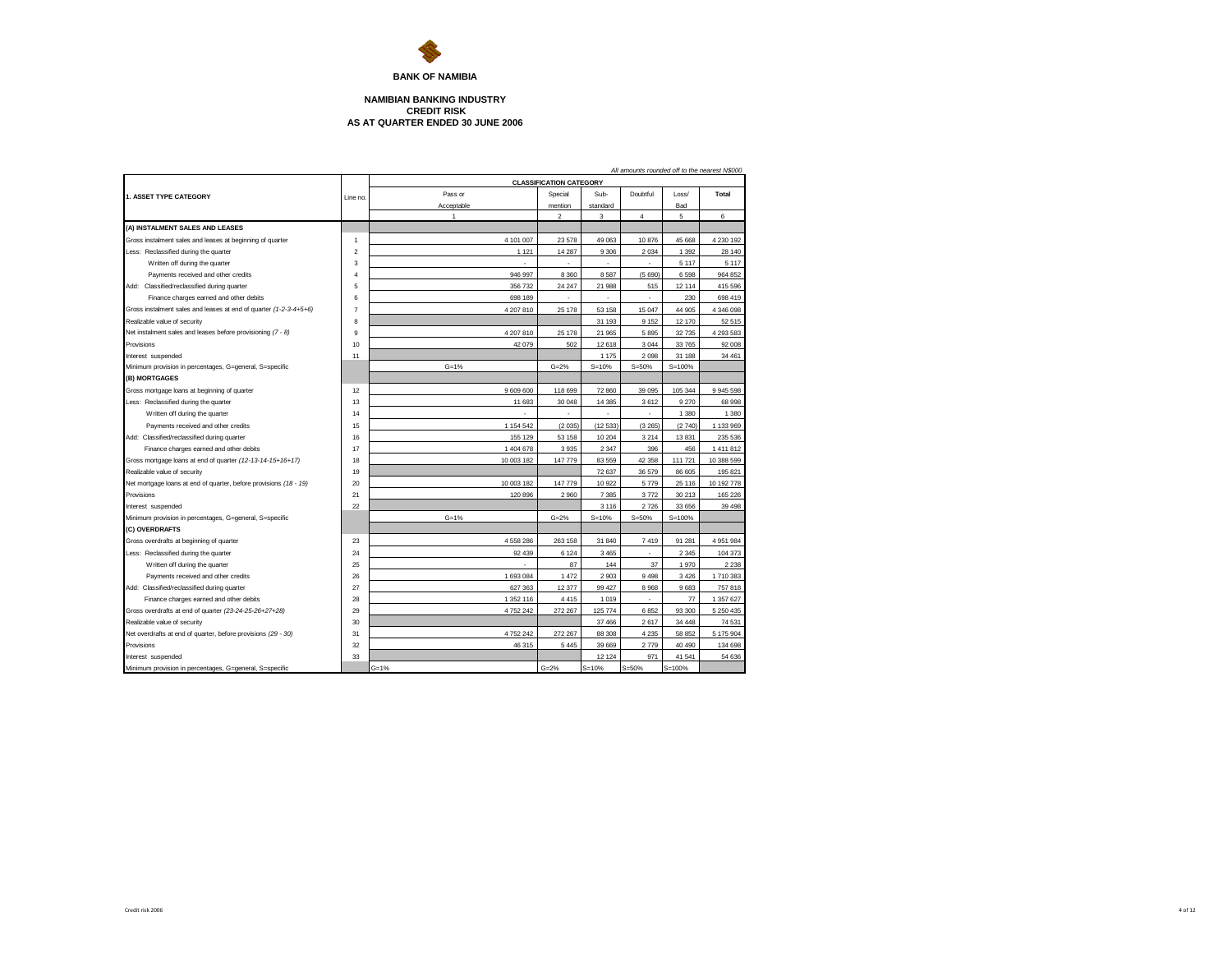

## **NAMIBIAN BANKING INDUSTRY CREDIT RISK AS AT QUARTER ENDED 30 JUNE 2006**

|                                                                   |                |                |                                |           |                |            | All amounts rounded off to the nearest N\$000 |
|-------------------------------------------------------------------|----------------|----------------|--------------------------------|-----------|----------------|------------|-----------------------------------------------|
|                                                                   |                |                | <b>CLASSIFICATION CATEGORY</b> |           |                |            |                                               |
| 1. ASSET TYPE CATEGORY                                            | Line no        | Pass or        | Special                        | Sub-      | Doubtful       | Loss/      | Total                                         |
|                                                                   |                | Acceptable     | mention                        | standard  |                | Bad        |                                               |
|                                                                   |                | $\overline{1}$ | $\overline{2}$                 | 3         | $\overline{4}$ | 5          | 6                                             |
| (A) INSTALMENT SALES AND LEASES                                   |                |                |                                |           |                |            |                                               |
| Gross instalment sales and leases at beginning of quarter         | $\mathbf{1}$   | 4 101 007      | 23 578                         | 49 063    | 10876          | 45 668     | 4 230 192                                     |
| Less: Reclassified during the quarter                             | 2              | 1 1 2 1        | 14 287                         | 9 3 0 6   | 2 0 3 4        | 1 3 9 2    | 28 140                                        |
| Written off during the quarter                                    | 3              | ×.             | ×                              | ٠         | ٠              | 5 1 1 7    | 5 1 1 7                                       |
| Payments received and other credits                               | 4              | 946 997        | 8 3 6 0                        | 8587      | (5690)         | 6598       | 964 852                                       |
| Add: Classified/reclassified during quarter                       | 5              | 356 732        | 24 247                         | 21 988    | 515            | 12 114     | 415 596                                       |
| Finance charges earned and other debits                           | 6              | 698 189        |                                |           | ٠              | 230        | 698 419                                       |
| Gross instalment sales and leases at end of quarter (1-2-3-4+5+6) | $\overline{7}$ | 4 207 810      | 25 178                         | 53 158    | 15 047         | 44 905     | 4 346 098                                     |
| Realizable value of security                                      | 8              |                |                                | 31 193    | 9 1 5 2        | 12 170     | 52 515                                        |
| Net instalment sales and leases before provisioning (7 - 8)       | 9              | 4 207 810      | 25 178                         | 21 965    | 5895           | 32735      | 4 293 583                                     |
| Provisions                                                        | 10             | 42 079         | 502                            | 12 618    | 3 0 4 4        | 33765      | 92 008                                        |
| Interest suspended                                                | 11             |                |                                | 1 175     | 2098           | 31 188     | 34 461                                        |
| Minimum provision in percentages, G=general, S=specific           |                | $G = 1%$       | $G = 2%$                       | $S = 10%$ | $S = 50%$      | $S = 100%$ |                                               |
| (B) MORTGAGES                                                     |                |                |                                |           |                |            |                                               |
| Gross mortgage loans at beginning of quarter                      | 12             | 9 609 600      | 118 699                        | 72 860    | 39 095         | 105 344    | 9 945 598                                     |
| Less: Reclassified during the quarter                             | 13             | 11 683         | 30 048                         | 14 3 85   | 3612           | 9 2 7 0    | 68 998                                        |
| Written off during the quarter                                    | 14             |                |                                |           | ÷.             | 1 3 8 0    | 1 3 8 0                                       |
| Payments received and other credits                               | 15             | 1 154 542      | (2035)                         | (12533)   | (3 265)        | (2740)     | 1 133 969                                     |
| Add: Classified/reclassified during quarter                       | 16             | 155 129        | 53 158                         | 10 204    | 3 2 1 4        | 13831      | 235 536                                       |
| Finance charges earned and other debits                           | 17             | 1404678        | 3935                           | 2 3 4 7   | 396            | 456        | 1411812                                       |
| Gross mortgage loans at end of quarter (12-13-14-15+16+17)        | 18             | 10 003 182     | 147 779                        | 83 559    | 42 358         | 111 721    | 10 388 599                                    |
| Realizable value of security                                      | 19             |                |                                | 72 637    | 36 579         | 86 605     | 195 821                                       |
| Net mortgage loans at end of quarter, before provisions (18 - 19) | 20             | 10 003 182     | 147 779                        | 10 922    | 5779           | 25 116     | 10 192 778                                    |
| Provisions                                                        | 21             | 120 896        | 2 9 6 0                        | 7 3 8 5   | 3772           | 30 213     | 165 226                                       |
| Interest suspended                                                | 22             |                |                                | 3 1 1 6   | 2726           | 33 656     | 39 4 98                                       |
| Minimum provision in percentages, G=general, S=specific           |                | $G = 1%$       | $G = 2%$                       | $S = 10%$ | $S = 50%$      | $S = 100%$ |                                               |
| (C) OVERDRAFTS                                                    |                |                |                                |           |                |            |                                               |
| Gross overdrafts at beginning of quarter                          | 23             | 4 558 286      | 263 158                        | 31 840    | 7419           | 91 281     | 4 951 984                                     |
| Less: Reclassified during the quarter                             | 24             | 92 439         | 6 1 2 4                        | 3 4 6 5   |                | 2 3 4 5    | 104 373                                       |
| Written off during the quarter                                    | 25             |                | 87                             | 144       | 37             | 1970       | 2 2 3 8                                       |
| Payments received and other credits                               | 26             | 1 693 084      | 1 4 7 2                        | 2903      | 9498           | 3426       | 1710383                                       |
| Add: Classified/reclassified during quarter                       | 27             | 627 363        | 12 377                         | 99 427    | 8968           | 9683       | 757818                                        |
| Finance charges earned and other debits                           | 28             | 1 352 116      | 4 4 1 5                        | 1019      | ×.             | 77         | 1 357 627                                     |
| Gross overdrafts at end of quarter (23-24-25-26+27+28)            | 29             | 4 752 242      | 272 267                        | 125 774   | 6852           | 93 300     | 5 250 435                                     |
| Realizable value of security                                      | 30             |                |                                | 37 466    | 2617           | 34 4 4 8   | 74 531                                        |
| Net overdrafts at end of quarter, before provisions (29 - 30)     | 31             | 4 752 242      | 272 267                        | 88 30 8   | 4 2 3 5        | 58 852     | 5 175 904                                     |
| Provisions                                                        | 32             | 46 315         | 5 4 4 5                        | 39 669    | 2779           | 40 490     | 134 698                                       |
| Interest suspended                                                | 33             |                |                                | 12 12 4   | 971            | 41 541     | 54 636                                        |
| Minimum provision in percentages, G=general, S=specific           |                | $G = 1%$       | $G = 2%$                       | $S = 10%$ | $S = 50%$      | $S = 100%$ |                                               |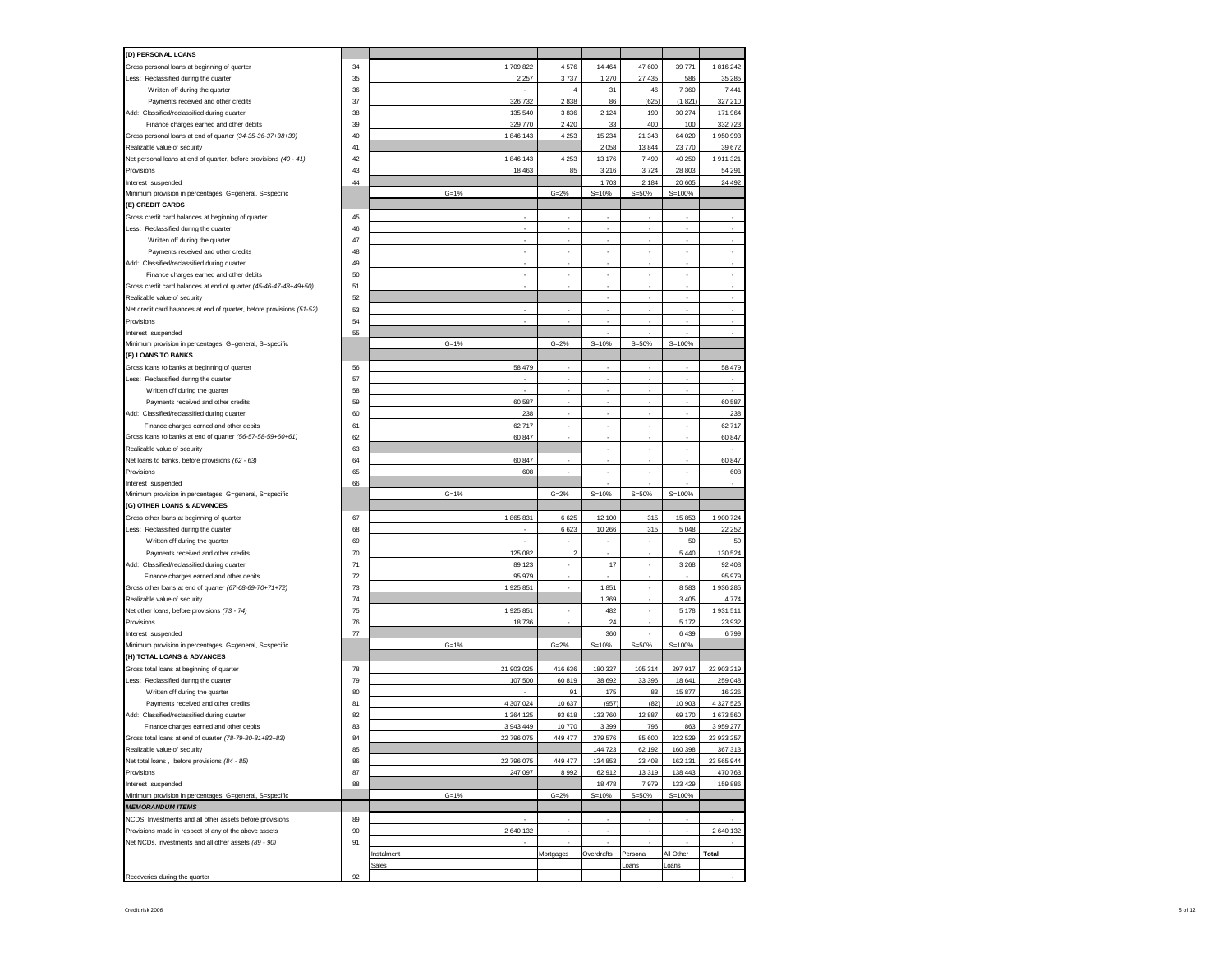| (D) PERSONAL LOANS                                                                     |    |            |                  |            |           |            |            |
|----------------------------------------------------------------------------------------|----|------------|------------------|------------|-----------|------------|------------|
|                                                                                        | 34 | 1709822    | 4576             | 14 4 64    | 47 609    | 39771      |            |
| Gross personal loans at beginning of quarter                                           |    |            |                  |            |           |            | 1816242    |
| Less: Reclassified during the quarter                                                  | 35 | 2 2 5 7    | 3737             | 1 2 7 0    | 27 435    | 586        | 35 285     |
| Written off during the quarter                                                         | 36 |            | $\overline{4}$   | 31         | 46        | 7 3 6 0    | 7 4 4 1    |
| Payments received and other credits                                                    | 37 | 326 732    | 2838             | 86         | (625)     | (1821)     | 327 210    |
| Add: Classified/reclassified during quarter                                            | 38 | 135 540    | 3836             | 2 1 2 4    | 190       | 30 274     | 171 964    |
| Finance charges earned and other debits                                                | 39 | 329 770    | 2 4 2 0          | 33         | 400       | 100        | 332 723    |
| Gross personal loans at end of quarter (34-35-36-37+38+39)                             | 40 | 1846 143   | 4 2 5 3          | 15 2 34    | 21 343    | 64 0 20    | 1 950 993  |
| Realizable value of security                                                           | 41 |            |                  | 2 0 5 8    | 13 844    | 23770      | 39 672     |
| Net personal loans at end of quarter, before provisions (40 - 41)                      | 42 | 1846 143   | 4 2 5 3          | 13 176     | 7499      | 40 250     | 1 911 321  |
| Provisions                                                                             | 43 | 18 4 63    | 85               | 3 2 1 6    | 3724      | 28 803     | 54 291     |
| Interest suspended                                                                     | 44 |            |                  | 1703       | 2 1 8 4   | 20 605     | 24 492     |
| Minimum provision in percentages, G=general, S=specific                                |    | $G = 1%$   | $G = 2%$         | $S = 10%$  | $S = 50%$ | $S = 100%$ |            |
| (E) CREDIT CARDS                                                                       |    |            |                  |            |           |            |            |
|                                                                                        |    |            | ×.               | ×.         | ÷         |            |            |
| Gross credit card balances at beginning of quarter                                     | 45 |            |                  |            |           |            |            |
| Less: Reclassified during the quarter                                                  | 46 |            | ×.               | ×,         | ä,        |            | $\epsilon$ |
| Written off during the quarter                                                         | 47 | ÷.         |                  | ż          | ä,        | ł.         | ×          |
| Payments received and other credits                                                    | 48 |            |                  |            | ×.        |            |            |
| Add: Classified/reclassified during quarter                                            | 49 | ÷          | ÷                | ×.         | ä,        |            |            |
| Finance charges earned and other debits                                                | 50 |            |                  |            |           |            | ×.         |
| Gross credit card balances at end of quarter (45-46-47-48+49+50)                       | 51 | ×.         | ×.               | ×          | ÷         | ł.         | ×          |
| Realizable value of security                                                           | 52 |            |                  |            |           |            |            |
| Net credit card balances at end of quarter, before provisions (51-52)                  | 53 |            |                  | ×          | ٠         | i.         |            |
| Provisions                                                                             | 54 |            |                  |            |           |            |            |
| Interest suspended                                                                     | 55 |            |                  | ٠          | ×.        | i.         | ×          |
| Minimum provision in percentages, G=general, S=specific                                |    | $G = 1%$   | $G = 2%$         | $S = 10%$  | $S = 50%$ | $S = 100%$ |            |
|                                                                                        |    |            |                  |            |           |            |            |
| (F) LOANS TO BANKS                                                                     |    |            |                  |            |           |            |            |
| Gross loans to banks at beginning of quarter                                           | 56 | 58 479     |                  |            |           |            | 58 479     |
| Less: Reclassified during the quarter                                                  | 57 |            | ×,               | ×,         | ä,        | ×,         | ×,         |
| Written off during the quarter                                                         | 58 |            |                  |            |           |            |            |
| Payments received and other credits                                                    | 59 | 60 587     | ×,               | ×,         | ä,        |            | 60 587     |
| Add: Classified/reclassified during quarter                                            | 60 | 238        |                  |            |           |            | 238        |
| Finance charges earned and other debits                                                | 61 | 62 717     | ×,               | ×,         | ä,        | ×,         | 62 717     |
| Gross loans to banks at end of quarter (56-57-58-59+60+61)                             | 62 | 60 847     |                  |            | ä,        |            | 60 847     |
| Realizable value of security                                                           | 63 |            |                  | ٠          | ×,        |            | ×,         |
| Net loans to banks, before provisions (62 - 63)                                        | 64 | 60 847     |                  |            |           |            | 60 847     |
|                                                                                        |    |            |                  |            |           |            |            |
|                                                                                        |    |            |                  |            |           |            |            |
| Provisions                                                                             | 65 | 608        | ×.               |            | ä,        |            | 608        |
| Interest suspended                                                                     | 66 |            |                  |            |           |            |            |
| Minimum provision in percentages, G=general, S=specific                                |    | $G = 1%$   | $G = 2%$         | $S = 10%$  | $S = 50%$ | $S = 100%$ |            |
| (G) OTHER LOANS & ADVANCES                                                             |    |            |                  |            |           |            |            |
| Gross other loans at beginning of quarter                                              | 67 | 1865831    | 6 6 2 5          | 12 100     | 315       | 15 853     | 1 900 724  |
| Less: Reclassified during the quarter                                                  | 68 |            | 6 6 23           | 10 26 6    | 315       | 5 0 48     | 22 25 2    |
| Written off during the quarter                                                         | 69 |            |                  |            | ×,        | 50         | 50         |
| Payments received and other credits                                                    | 70 | 125 082    | $\boldsymbol{2}$ | ×.         | ä,        | 5 4 4 0    | 130 524    |
|                                                                                        | 71 | 89 123     | ٠                | 17         | ٠         | 3 2 6 8    | 92 408     |
| Add: Classified/reclassified during quarter<br>Finance charges earned and other debits | 72 | 95 979     |                  |            | ÷         |            | 95 979     |
|                                                                                        | 73 | 1 925 851  | ٠                | 1851       | ٠         | 8583       | 1 936 285  |
| Gross other loans at end of quarter (67-68-69-70+71+72)                                |    |            |                  |            | ÷         |            |            |
| Realizable value of security                                                           | 74 |            |                  | 1 3 6 9    |           | 3405       | 4774       |
| Net other loans, before provisions (73 - 74)                                           | 75 | 1 925 851  |                  | 482        | ÷         | 5 1 7 8    | 1 931 511  |
| Provisions                                                                             | 76 | 18736      |                  | 24         |           | 5 1 7 2    | 23 932     |
| Interest suspended                                                                     | 77 |            |                  | 360        |           | 6439       | 6799       |
| Minimum provision in percentages, G=general, S=specific                                |    | $G = 1%$   | $G = 2%$         | $S = 10%$  | $S = 50%$ | $S = 100%$ |            |
| (H) TOTAL LOANS & ADVANCES                                                             |    |            |                  |            |           |            |            |
| Gross total loans at beginning of quarter                                              | 78 | 21 903 025 | 416 636          | 180 327    | 105 314   | 297 917    | 22 903 219 |
| Less: Reclassified during the quarter                                                  | 79 | 107 500    | 60 819           | 38 692     | 33 396    | 18 641     | 259 048    |
| Written off during the quarter                                                         | 80 |            | 91               | 175        | 83        | 15877      | 16 226     |
| Payments received and other credits                                                    | 81 | 4 307 024  | 10 637           | (957)      | (82)      | 10 903     | 4 327 525  |
| Add: Classified/reclassified during quarter                                            | 82 | 1 364 125  | 93 618           | 133 760    | 12 887    | 69 170     | 1 673 560  |
| Finance charges earned and other debits                                                | 83 | 3 943 449  | 10770            | 3 3 9 9    | 796       | 863        | 3 959 277  |
|                                                                                        |    |            |                  |            |           | 322 529    |            |
| Gross total loans at end of quarter (78-79-80-81+82+83)                                | 84 | 22 796 075 | 449 477          | 279 576    | 85 600    |            | 23 933 257 |
| Realizable value of security                                                           | 85 |            |                  | 144 723    | 62 192    | 160 398    | 367 313    |
| Net total loans, before provisions (84 - 85)                                           | 86 | 22 796 075 | 449 477          | 134 853    | 23 408    | 162 131    | 23 565 944 |
| Provisions                                                                             | 87 | 247 097    | 8 9 9 2          | 62 912     | 13 319    | 138 443    | 470 763    |
| Interest suspended                                                                     | 88 |            |                  | 18 478     | 7979      | 133 429    | 159 886    |
| Minimum provision in percentages, G=general, S=specific                                |    | $G = 1%$   | $G = 2%$         | $S = 10%$  | $S = 50%$ | $S = 100%$ |            |
| <b>MEMORANDUM ITEMS</b>                                                                |    |            |                  |            |           |            |            |
| NCDS, Investments and all other assets before provisions                               | 89 |            |                  | ×.         |           | ÷.         |            |
| Provisions made in respect of any of the above assets                                  | 90 | 2 640 132  |                  |            |           |            | 2 640 132  |
| Net NCDs, investments and all other assets (89 - 90)                                   | 91 |            |                  | ×.         | ÷         |            |            |
|                                                                                        |    | Instalment | Mortgages        | Overdrafts | Personal  | All Other  | Total      |
|                                                                                        |    | Sales      |                  |            | Loans     | oans       |            |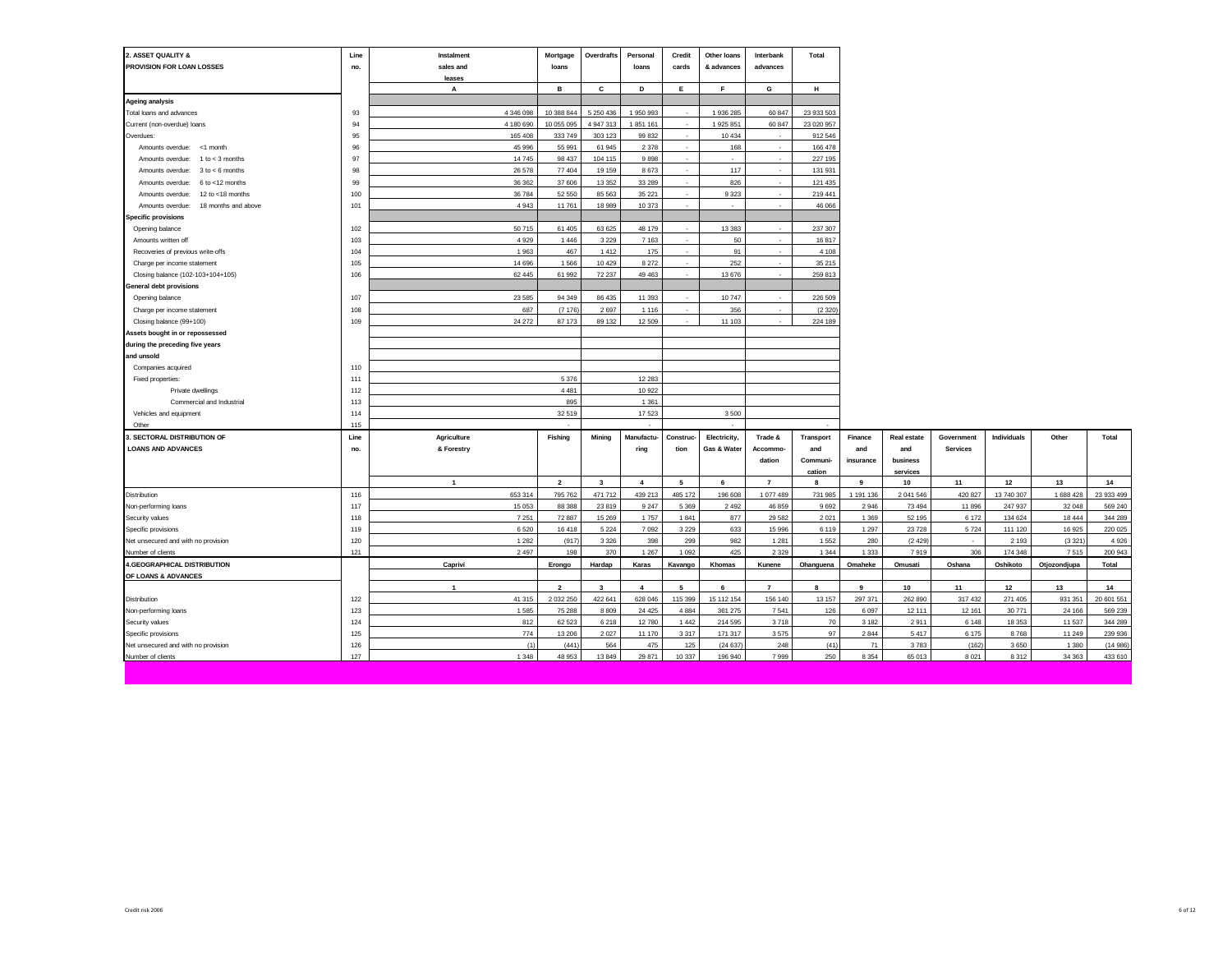| 2. ASSET QUALITY &<br>PROVISION FOR LOAN LOSSES          | Line<br>no. | Instalment<br>sales and | Mortgage<br>loans   | Overdrafts              | Personal<br>loans | Credit<br>cards          | Other loans<br>& advances | Interbank<br>advances | Total           |                 |                |                   |                    |                   |                    |
|----------------------------------------------------------|-------------|-------------------------|---------------------|-------------------------|-------------------|--------------------------|---------------------------|-----------------------|-----------------|-----------------|----------------|-------------------|--------------------|-------------------|--------------------|
|                                                          |             | leases                  |                     |                         |                   |                          |                           |                       |                 |                 |                |                   |                    |                   |                    |
|                                                          |             | A                       | в                   | С                       | D                 | E                        | F                         | G                     | н               |                 |                |                   |                    |                   |                    |
| <b>Ageing analysis</b>                                   |             |                         |                     |                         |                   |                          |                           |                       |                 |                 |                |                   |                    |                   |                    |
| Total loans and advances                                 | 93          | 4 346 098               | 10 388 844          | 5 250 436               | 1950993           | $\overline{\phantom{a}}$ | 1936 285                  | 60 847                | 23 933 503      |                 |                |                   |                    |                   |                    |
| Current (non-overdue) loans                              | 94          | 4 180 690               | 10 055 095          | 4 947 313               | 1851 161          | $\overline{\phantom{a}}$ | 1 925 851                 | 60 847                | 23 020 957      |                 |                |                   |                    |                   |                    |
| Overdues:                                                | 95          | 165 408                 | 333 749             | 303 123                 | 99 832            | $\sim$                   | 10 4 34                   | $\sim$                | 912 546         |                 |                |                   |                    |                   |                    |
| Amounts overdue: <1 month                                | 96          | 45 996                  | 55 991              | 61 945                  | 2 3 7 8           | $\cdot$                  | 168                       | $\sim$                | 166 478         |                 |                |                   |                    |                   |                    |
| Amounts overdue:<br>$1 to < 3$ months                    | 97          | 14745                   | 98 437              | 104 115                 | 9898              | ×.                       |                           | $\sim$                | 227 195         |                 |                |                   |                    |                   |                    |
| Amounts overdue:<br>$3$ to $< 6$ months                  | 98          | 26 578                  | 77 404              | 19 15 9                 | 8673              | ÷                        | 117                       | $\sim$                | 131 931         |                 |                |                   |                    |                   |                    |
| 6 to <12 months<br>Amounts overdue:                      | 99          | 36 36 2                 | 37 606              | 13 3 5 2                | 33 289            | ÷                        | 826                       |                       | 121 435         |                 |                |                   |                    |                   |                    |
| Amounts overdue:<br>12 to <18 months                     | 100         | 36 784                  | 52 550              | 85 563                  | 35 221            | $\sim$                   | 9 3 2 3                   | $\sim$                | 219 441         |                 |                |                   |                    |                   |                    |
| 18 months and above<br>Amounts overdue:                  | 101         | 4 9 4 3                 | 11761               | 18 989                  | 10 373            | ×                        |                           |                       | 46 066          |                 |                |                   |                    |                   |                    |
| <b>Specific provisions</b>                               |             |                         |                     |                         |                   |                          |                           |                       |                 |                 |                |                   |                    |                   |                    |
| Opening balance                                          | 102         | 50 715                  | 61 405              | 63 625                  | 48 179            | ٠                        | 13 3 8 3                  |                       | 237 307         |                 |                |                   |                    |                   |                    |
| Amounts written off                                      | 103         | 4929                    | 1 4 4 6             | 3 2 2 9                 | 7 1 6 3           | $\sim$                   | 50                        |                       | 16817           |                 |                |                   |                    |                   |                    |
| Recoveries of previous write-offs                        | 104         | 1963                    | 467                 | 1412                    | 175               | ä,                       | 91                        |                       | 4 1 0 8         |                 |                |                   |                    |                   |                    |
| Charge per income statement                              | 105         | 14 69 6                 | 1566                | 10 4 29                 | 8 2 7 2           | $\sim$                   | 252                       | $\sim$                | 35 215          |                 |                |                   |                    |                   |                    |
| Closing balance (102-103+104+105)                        | 106         | 62 445                  | 61 992              | 72 237                  | 49 463            | $\sim$                   | 13 676                    | $\sim$                | 259 813         |                 |                |                   |                    |                   |                    |
| General debt provisions                                  |             |                         |                     |                         |                   |                          |                           |                       |                 |                 |                |                   |                    |                   |                    |
| Opening balance                                          | 107         | 23 5 85                 | 94 34 9             | 86 435                  | 11 393            | $\cdot$                  | 10747                     |                       | 226 509         |                 |                |                   |                    |                   |                    |
| Charge per income statement                              | 108         | 687                     | (7176)              | 2697                    | 1 1 1 6           |                          | 356                       |                       | (2320)          |                 |                |                   |                    |                   |                    |
| Closing balance (99+100)                                 | 109         | 24 27 2                 | 87 173              | 89 132                  | 12 509            |                          | 11 103                    |                       | 224 189         |                 |                |                   |                    |                   |                    |
| Assets bought in or repossessed                          |             |                         |                     |                         |                   |                          |                           |                       |                 |                 |                |                   |                    |                   |                    |
| during the preceding five years                          |             |                         |                     |                         |                   |                          |                           |                       |                 |                 |                |                   |                    |                   |                    |
| and unsold                                               |             |                         |                     |                         |                   |                          |                           |                       |                 |                 |                |                   |                    |                   |                    |
| Companies acquired                                       | 110         |                         |                     |                         |                   |                          |                           |                       |                 |                 |                |                   |                    |                   |                    |
| Fixed properties:                                        | 111         |                         | 5 3 7 6             |                         | 12 28 3           |                          |                           |                       |                 |                 |                |                   |                    |                   |                    |
| Private dwellings                                        | 112         |                         | 4 4 8 1             |                         | 10 922            |                          |                           |                       |                 |                 |                |                   |                    |                   |                    |
| Commercial and Industrial                                | 113         |                         | 895                 |                         | 1 3 6 1           |                          |                           |                       |                 |                 |                |                   |                    |                   |                    |
| Vehicles and equipment                                   | 114         |                         | 32 519              |                         | 17523             |                          | 3500                      |                       |                 |                 |                |                   |                    |                   |                    |
| Other                                                    | 115         |                         |                     |                         |                   |                          |                           |                       |                 |                 |                |                   |                    |                   |                    |
| . SECTORAL DISTRIBUTION OF                               | Line        | Agriculture             | Fishing             | Mining                  | Manufactu-        | Construc-                | Electricity,              | Trade &               | Transport       | Finance         | Real estate    | Government        | Individuals        | Other             | Total              |
| <b>LOANS AND ADVANCES</b>                                | no.         | & Forestry              |                     |                         | ring              | tion                     | Gas & Water               | Accommo-              | and             | and             | and            | <b>Services</b>   |                    |                   |                    |
|                                                          |             |                         |                     |                         |                   |                          |                           | dation                | Communi-        | insurance       | business       |                   |                    |                   |                    |
|                                                          |             |                         |                     |                         |                   |                          |                           |                       | cation          |                 | services       |                   |                    |                   |                    |
|                                                          |             | $\mathbf{1}$            | $\overline{2}$      | $\overline{\mathbf{3}}$ | $\overline{4}$    | 5                        | 6                         | $\overline{7}$        | $\mathbf{R}$    | 9               | 10             | 11                | 12                 | 13                | 14                 |
| Distribution                                             | 116         | 653 314                 | 795 762             | 471 712                 | 439 213           | 485 172                  | 196 608                   | 1 077 489             | 731 985         | 1 191 136       | 2 041 546      | 420 827           | 13 740 307         | 1 688 428         | 23 933 499         |
| Non-performing loans                                     | 117         | 15 053                  | 88 388              | 23 819                  | 9 2 4 7           | 5 3 6 9                  | 2 4 9 2                   | 46 859                | 9692            | 2946            | 73 494         | 11896             | 247 937            | 32 048            | 569 240            |
| Security values                                          | 118         | 7 2 5 1                 | 72 887              | 15 26 9                 | 1757              | 1841                     | 877                       | 29 5 82               | 2 0 2 1         | 1 3 6 9         | 52 195         | 6 172             | 134 624            | 18 444            | 344 289            |
| Specific provisions                                      | 119         | 6 5 20                  | 16 418              | 5 2 2 4                 | 7 0 9 2           | 3 2 2 9                  | 633                       | 15 996                | 6 1 1 9         | 1 2 9 7         | 23 7 28        | 5724              | 111 120            | 16 925            | 220 025            |
| Net unsecured and with no provision                      | 120<br>121  | 1 2 8 2<br>2 4 9 7      | (917)<br>198        | 3 3 2 6<br>370          | 398<br>1 2 6 7    | 299<br>1 0 9 2           | 982<br>425                | 1 2 8 1<br>2 3 2 9    | 1552<br>1 3 4 4 | 280<br>1333     | (2429)<br>7919 | $\epsilon$<br>306 | 2 1 9 3<br>174 348 | (3321)<br>7515    | 4 9 2 6<br>200 943 |
| Number of clients                                        |             |                         |                     |                         |                   |                          |                           |                       |                 |                 |                |                   |                    |                   |                    |
| <b>4.GEOGRAPHICAL DISTRIBUTION</b>                       |             | Caprivi                 | Erongo              | Hardap                  | Karas             | Kavango                  | Khomas                    | Kunene                | Ohanguena       | Omaheke         | Omusati        | Oshana            | Oshikoto           | Otjozondjupa      | Total              |
| OF LOANS & ADVANCES                                      |             | $\overline{1}$          | $\overline{2}$      | $\overline{\mathbf{3}}$ | $\overline{4}$    | 5                        | 6                         | $\overline{7}$        | 8               | 9               |                |                   |                    |                   | 14                 |
|                                                          |             | 41 315                  |                     | 422 641                 | 628 046           |                          | 15 112 154                | 156 140               | 13 157          | 297 371         | 10<br>262 890  | 11<br>317 432     | 12<br>271 405      | 13                |                    |
| Distribution                                             | 122         | 1585                    | 2 032 250<br>75 288 | 8 8 0 9                 | 24 4 25           | 115 399                  |                           | 7541                  | 126             |                 |                |                   | 30 771             | 931 351           | 20 601 551         |
| Non-performing loans                                     | 123         | 812                     | 62 523              | 6 2 1 8                 | 12 780            | 4 8 8 4<br>1 4 4 2       | 361 275<br>214 595        | 3718                  | 70              | 6097<br>3 1 8 2 | 12 111<br>2911 | 12 161<br>6 1 4 8 | 18 3 5 3           | 24 16 6<br>11 537 | 569 239<br>344 289 |
| Security values                                          | 124<br>125  | 774                     | 13 20 6             | 2 0 2 7                 | 11 170            | 3317                     | 171 317                   | 3575                  | 97              | 2844            | 5417           | 6 1 7 5           | 8768               | 11 249            |                    |
| Specific provisions                                      | 126         |                         | (441)               | 564                     | 475               |                          |                           | 248                   | (41)            | 71              | 3783           |                   |                    | 1 3 8 0           | 239 936            |
| Net unsecured and with no provision<br>Number of clients | 127         | (1)<br>1 3 4 8          | 48 953              | 13 849                  | 29 871            | 125<br>10 3 3 7          | (24637)<br>196 940        | 7999                  | 250             | 8 3 5 4         | 65 013         | (162)<br>8021     | 3650<br>8312       | 34 36 3           | (14986)<br>433 610 |
|                                                          |             |                         |                     |                         |                   |                          |                           |                       |                 |                 |                |                   |                    |                   |                    |
|                                                          |             |                         |                     |                         |                   |                          |                           |                       |                 |                 |                |                   |                    |                   |                    |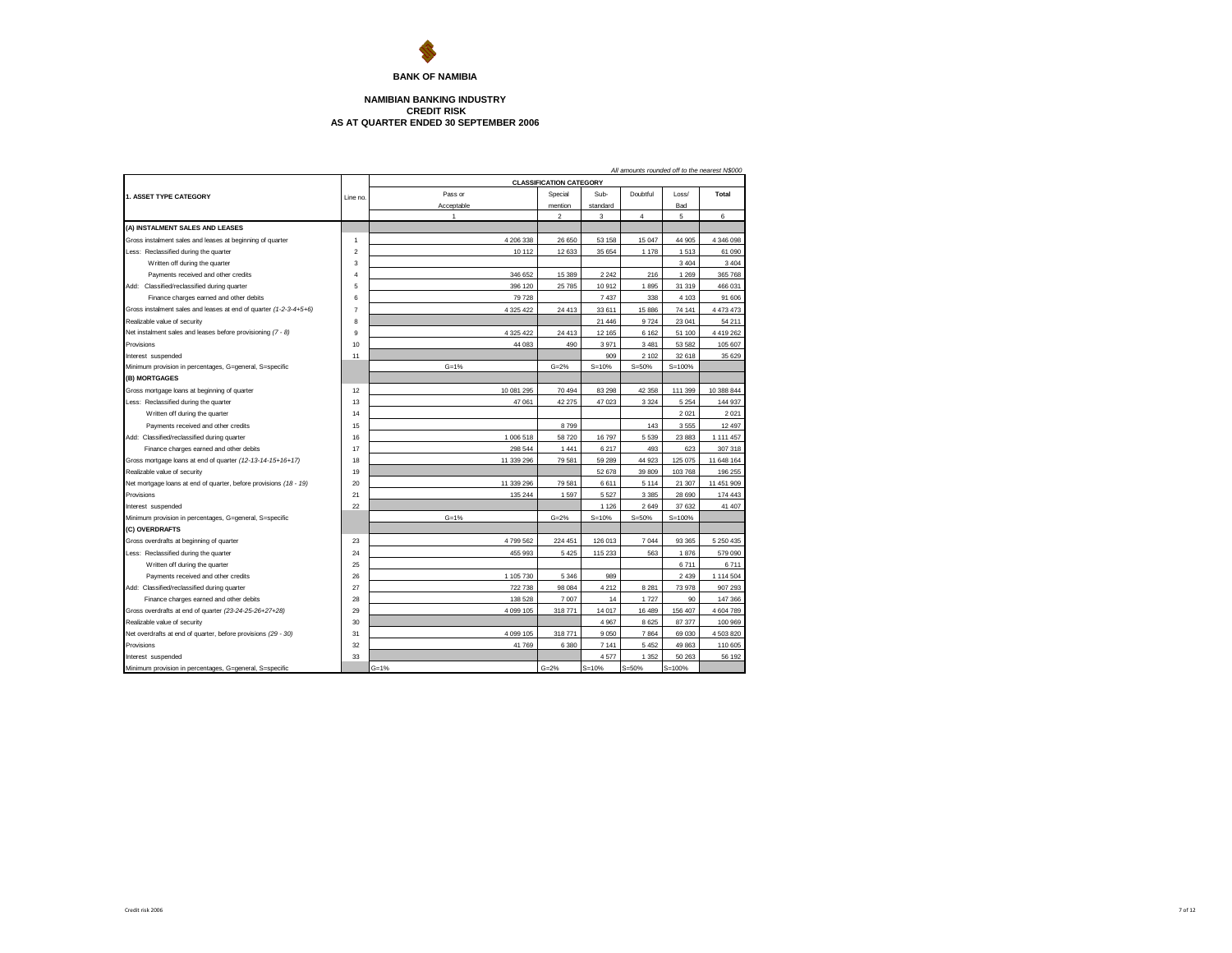

**BANK OF NAMIBIA**

## **AS AT QUARTER ENDED 30 SEPTEMBER 2006 NAMIBIAN BANKING INDUSTRY CREDIT RISK**

|                                                                                    | All amounts rounded off to the nearest N\$000<br><b>CLASSIFICATION CATEGORY</b> |            |                |             |                  |                  |               |  |  |  |  |
|------------------------------------------------------------------------------------|---------------------------------------------------------------------------------|------------|----------------|-------------|------------------|------------------|---------------|--|--|--|--|
|                                                                                    |                                                                                 | Pass or    | Special        | Sub-        | Doubtful         | Loss/            | Total         |  |  |  |  |
| 1. ASSET TYPE CATEGORY                                                             | Line no.                                                                        | Acceptable | mention        | standard    |                  | Bad              |               |  |  |  |  |
|                                                                                    |                                                                                 | 1          | $\mathfrak{p}$ | 3           | 4                | 5                | 6             |  |  |  |  |
| (A) INSTALMENT SALES AND LEASES                                                    |                                                                                 |            |                |             |                  |                  |               |  |  |  |  |
| Gross instalment sales and leases at beginning of quarter                          | $\overline{1}$                                                                  | 4 206 338  | 26 650         | 53 158      | 15 047           | 44 905           | 4 346 098     |  |  |  |  |
| Less: Reclassified during the quarter                                              | $\overline{2}$                                                                  | 10 112     | 12 633         | 35 654      | 1 1 7 8          | 1513             | 61 090        |  |  |  |  |
| Written off during the quarter                                                     | 3                                                                               |            |                |             |                  | 3404             | 3 4 0 4       |  |  |  |  |
| Payments received and other credits                                                | $\overline{4}$                                                                  | 346 652    | 15 389         | 2 2 4 2     | 216              | 1 2 6 9          | 365 768       |  |  |  |  |
| Add: Classified/reclassified during quarter                                        | 5                                                                               | 396 120    | 25 785         | 10912       | 1895             | 31 319           | 466 031       |  |  |  |  |
| Finance charges earned and other debits                                            | 6                                                                               | 79 728     |                | 7 4 3 7     | 338              | 4 1 0 3          | 91 606        |  |  |  |  |
| Gross instalment sales and leases at end of quarter (1-2-3-4+5+6)                  | $\overline{7}$                                                                  | 4 325 422  | 24 4 13        | 33 611      | 15 886           | 74 141           | 4 473 473     |  |  |  |  |
| Realizable value of security                                                       | 8                                                                               |            |                | 21 446      | 9724             | 23 041           | 54 211        |  |  |  |  |
| Net instalment sales and leases before provisioning (7 - 8)                        | 9                                                                               | 4 325 422  | 24 413         | 12 165      | 6 1 6 2          | 51 100           | 4 4 1 9 2 6 2 |  |  |  |  |
| Provisions                                                                         | 10                                                                              |            | 490            |             |                  |                  |               |  |  |  |  |
|                                                                                    |                                                                                 | 44 083     |                | 3971<br>909 | 3 4 8 1<br>2 102 | 53 582<br>32 618 | 105 607       |  |  |  |  |
| Interest suspended<br>Minimum provision in percentages, G=general, S=specific      | 11                                                                              | $G = 1%$   | $G = 2%$       | $S = 10%$   | $S = 50%$        | $S = 100%$       | 35 629        |  |  |  |  |
| (B) MORTGAGES                                                                      |                                                                                 |            |                |             |                  |                  |               |  |  |  |  |
| Gross mortgage loans at beginning of quarter                                       | 12                                                                              | 10 081 295 | 70 494         | 83 298      | 42 358           | 111 399          | 10 388 844    |  |  |  |  |
| Less: Reclassified during the quarter                                              | 13                                                                              | 47 061     | 42 275         | 47 023      | 3 3 2 4          | 5 2 5 4          | 144 937       |  |  |  |  |
| Written off during the quarter                                                     | 14                                                                              |            |                |             |                  | 2021             | 2 0 2 1       |  |  |  |  |
|                                                                                    | 15                                                                              |            | 8799           |             | 143              | 3555             | 12 497        |  |  |  |  |
| Payments received and other credits<br>Add: Classified/reclassified during quarter | 16                                                                              | 1 006 518  | 58 720         | 16 797      | 5 5 3 9          | 23 883           | 1 111 457     |  |  |  |  |
|                                                                                    | 17                                                                              | 298 544    | 1 4 4 1        | 6 217       | 493              | 623              | 307 318       |  |  |  |  |
| Finance charges earned and other debits                                            |                                                                                 |            |                |             |                  |                  |               |  |  |  |  |
| Gross mortgage loans at end of quarter (12-13-14-15+16+17)                         | 18                                                                              | 11 339 296 | 79 581         | 59 289      | 44 923           | 125 075          | 11 648 164    |  |  |  |  |
| Realizable value of security                                                       | 19                                                                              |            |                | 52 678      | 39 809           | 103768           | 196 255       |  |  |  |  |
| Net mortgage loans at end of quarter, before provisions (18 - 19)                  | 20                                                                              | 11 339 296 | 79 581         | 6611        | 5 1 1 4          | 21 307           | 11 451 909    |  |  |  |  |
| Provisions                                                                         | 21                                                                              | 135 244    | 1597           | 5 5 2 7     | 3 3 8 5          | 28 690           | 174 443       |  |  |  |  |
| Interest suspended                                                                 | 22                                                                              |            |                | 1 1 2 6     | 2649             | 37 632           | 41 407        |  |  |  |  |
| Minimum provision in percentages, G=general, S=specific                            |                                                                                 | $G = 1%$   | $G = 2%$       | $S = 10%$   | $S = 50%$        | $S = 100%$       |               |  |  |  |  |
| (C) OVERDRAFTS                                                                     |                                                                                 |            |                |             |                  |                  |               |  |  |  |  |
| Gross overdrafts at beginning of quarter                                           | 23                                                                              | 4799562    | 224 451        | 126 013     | 7 0 4 4          | 93 365           | 5 250 435     |  |  |  |  |
| Less: Reclassified during the quarter                                              | 24                                                                              | 455 993    | 5 4 2 5        | 115 233     | 563              | 1876             | 579 090       |  |  |  |  |
| Written off during the quarter                                                     | 25                                                                              |            |                |             |                  | 6711             | 6711          |  |  |  |  |
| Payments received and other credits                                                | 26                                                                              | 1 105 730  | 5 3 4 6        | 989         |                  | 2439             | 1 114 504     |  |  |  |  |
| Add: Classified/reclassified during quarter                                        | 27                                                                              | 722 738    | 98 084         | 4 2 1 2     | 8 2 8 1          | 73978            | 907 293       |  |  |  |  |
| Finance charges earned and other debits                                            | 28                                                                              | 138 528    | 7 007          | 14          | 1727             | 90               | 147 366       |  |  |  |  |
| Gross overdrafts at end of quarter (23-24-25-26+27+28)                             | 29                                                                              | 4 099 105  | 318 771        | 14 017      | 16 489           | 156 407          | 4 604 789     |  |  |  |  |
| Realizable value of security                                                       | 30                                                                              |            |                | 4 9 6 7     | 8625             | 87 377           | 100 969       |  |  |  |  |
| Net overdrafts at end of quarter, before provisions (29 - 30)                      | 31                                                                              | 4 099 105  | 318 771        | 9 0 5 0     | 7864             | 69 030           | 4 503 820     |  |  |  |  |
| Provisions                                                                         | 32                                                                              | 41 769     | 6 3 8 0        | 7 1 4 1     | 5 4 5 2          | 49 863           | 110 605       |  |  |  |  |
| Interest suspended                                                                 | 33                                                                              |            |                | 4577        | 1 3 5 2          | 50 263           | 56 192        |  |  |  |  |
| Minimum provision in percentages, G=general, S=specific                            |                                                                                 | $G = 1%$   | $G = 2%$       | $S = 10%$   | $S = 50%$        | $S = 100%$       |               |  |  |  |  |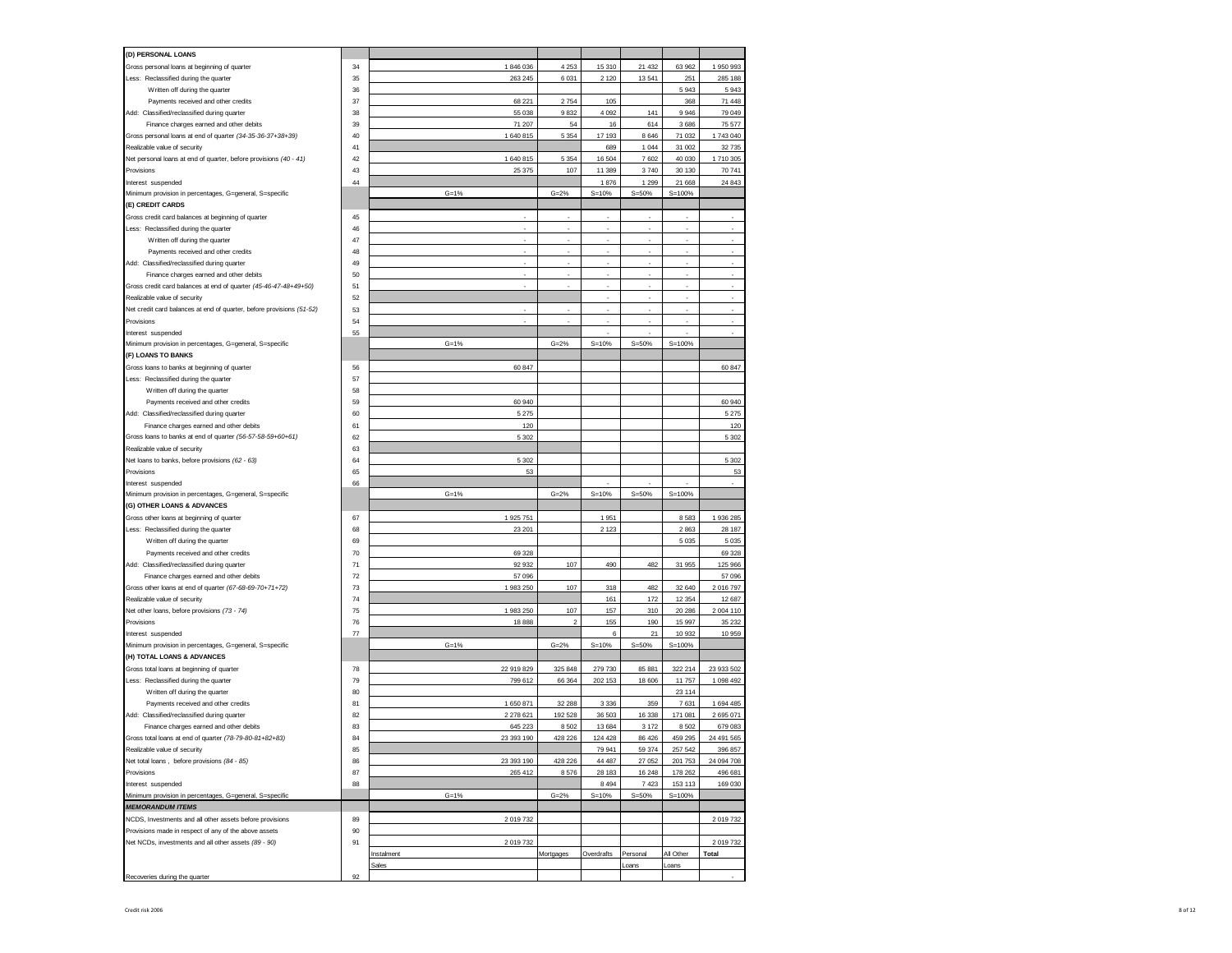| (D) PERSONAL LOANS                                                                                          |    |                     |                |            |                   |                   |            |
|-------------------------------------------------------------------------------------------------------------|----|---------------------|----------------|------------|-------------------|-------------------|------------|
| Gross personal loans at beginning of quarter                                                                | 34 | 1846036             | 4 2 5 3        | 15 310     | 21 4 32           | 63 962            | 1 950 993  |
| Less: Reclassified during the quarter                                                                       | 35 | 263 245             | 6 0 31         | 2 1 2 0    | 13 541            | 251               | 285 188    |
| Written off during the quarter                                                                              | 36 |                     |                |            |                   | 5943              | 5943       |
| Payments received and other credits                                                                         | 37 | 68 221              | 2754           | 105        |                   | 368               | 71 448     |
| Add: Classified/reclassified during quarter                                                                 | 38 | 55 038              | 9832           | 4 0 9 2    | 141               | 9946              | 79 049     |
| Finance charges earned and other debits                                                                     | 39 | 71 207              | 54             | 16         | 614               | 3686              | 75 577     |
| Gross personal loans at end of quarter (34-35-36-37+38+39)                                                  | 40 | 1 640 815           | 5 3 5 4        | 17 193     | 8 6 4 6           | 71 032            | 1743 040   |
| Realizable value of security                                                                                | 41 |                     |                | 689        | 1 0 4 4           | 31 002            | 32 735     |
| Net personal loans at end of quarter, before provisions (40 - 41)                                           | 42 | 1 640 815           | 5 3 5 4        | 16 504     | 7602              | 40 030            | 1710 305   |
| Provisions                                                                                                  | 43 | 25 375              | 107            | 11 389     | 3740              | 30 130            | 70 741     |
| Interest suspended                                                                                          | 44 |                     |                | 1876       | 1 2 9 9           | 21 668            | 24 843     |
| Minimum provision in percentages, G=general, S=specific                                                     |    | $G = 1%$            | $G = 2%$       | $S = 10%$  | $S = 50%$         | $S = 100%$        |            |
| (E) CREDIT CARDS                                                                                            |    |                     |                |            |                   |                   |            |
| Gross credit card balances at beginning of quarter                                                          | 45 | ×.                  | ٠              | ×          | ×                 | ٠                 | ٠          |
| Less: Reclassified during the quarter                                                                       | 46 |                     |                |            | ٠                 |                   | ٠          |
| Written off during the quarter                                                                              | 47 |                     |                | ×          | ٠                 | ä,                | ٠          |
| Payments received and other credits                                                                         | 48 |                     |                |            |                   |                   |            |
|                                                                                                             | 49 | ٠                   |                | ×          | ×.                |                   |            |
| Add: Classified/reclassified during quarter                                                                 | 50 |                     |                |            |                   |                   |            |
| Finance charges earned and other debits<br>Gross credit card balances at end of quarter (45-46-47-48+49+50) | 51 |                     |                | ×,         | ×,                | ä,                | ×          |
| Realizable value of security                                                                                | 52 |                     |                |            |                   |                   |            |
|                                                                                                             |    |                     |                |            | ×,                |                   |            |
| Net credit card balances at end of quarter, before provisions (51-52)                                       | 53 |                     |                | ٠          |                   |                   |            |
| Provisions                                                                                                  | 54 |                     |                |            |                   |                   | ä,         |
| Interest suspended                                                                                          | 55 |                     |                |            |                   |                   |            |
| Minimum provision in percentages, G=general, S=specific                                                     |    | $G = 1%$            | $G = 2%$       | $S = 10%$  | $S = 50%$         | $S = 100%$        |            |
| (F) LOANS TO BANKS                                                                                          |    |                     |                |            |                   |                   |            |
| Gross loans to banks at beginning of quarter                                                                | 56 | 60 847              |                |            |                   |                   | 60 847     |
| Less: Reclassified during the quarter                                                                       | 57 |                     |                |            |                   |                   |            |
| Written off during the quarter                                                                              | 58 |                     |                |            |                   |                   |            |
| Payments received and other credits                                                                         | 59 | 60 940              |                |            |                   |                   | 60 940     |
| Add: Classified/reclassified during quarter                                                                 | 60 | 5 2 7 5             |                |            |                   |                   | 5 275      |
| Finance charges earned and other debits                                                                     | 61 | 120                 |                |            |                   |                   | 120        |
| Gross loans to banks at end of quarter (56-57-58-59+60+61)                                                  | 62 | 5 3 0 2             |                |            |                   |                   | 5 3 0 2    |
| Realizable value of security                                                                                | 63 |                     |                |            |                   |                   |            |
| Net loans to banks, before provisions (62 - 63)                                                             | 64 | 5 3 0 2             |                |            |                   |                   | 5 3 0 2    |
| Provisions                                                                                                  | 65 | 53                  |                |            |                   |                   | 53         |
| Interest suspended                                                                                          | 66 |                     |                |            |                   |                   |            |
| Minimum provision in percentages, G=general, S=specific                                                     |    | $G = 1%$            | $G = 2%$       | $S = 10%$  | $S = 50%$         | $S = 100%$        |            |
| (G) OTHER LOANS & ADVANCES                                                                                  |    |                     |                |            |                   |                   |            |
| Gross other loans at beginning of quarter                                                                   | 67 | 1 925 751           |                | 1951       |                   | 8583              | 1 936 285  |
| Less: Reclassified during the quarter                                                                       | 68 | 23 201              |                | 2 1 2 3    |                   | 2863              | 28 187     |
| Written off during the quarter                                                                              | 69 |                     |                |            |                   | 5035              | 5 0 3 5    |
| Payments received and other credits                                                                         | 70 | 69 328              |                |            |                   |                   | 69 328     |
| Add: Classified/reclassified during quarter                                                                 | 71 | 92 932              | 107            | 490        | 482               | 31 955            | 125 966    |
| Finance charges earned and other debits                                                                     | 72 | 57 096              |                |            |                   |                   | 57 096     |
| Gross other loans at end of quarter (67-68-69-70+71+72)                                                     | 73 | 1 983 250           | 107            | 318        | 482               | 32 640            | 2 016 797  |
| Realizable value of security                                                                                | 74 |                     |                | 161        | 172               | 12 3 54           | 12 687     |
| Net other loans, before provisions (73 - 74)                                                                | 75 | 1 983 250           | 107            | 157        | 310               | 20 28 6           | 2 004 110  |
| Provisions                                                                                                  | 76 | 18 8 8 8            | $\mathfrak{p}$ | 155        | 190               | 15 997            | 35 232     |
| Interest suspended                                                                                          | 77 |                     |                | 6          | 21                | 10932             | 10 959     |
| Minimum provision in percentages, G=general, S=specific                                                     |    | $G = 1%$            | $G = 2%$       | $S = 10%$  | $S = 50%$         | $S = 100%$        |            |
| (H) TOTAL LOANS & ADVANCES                                                                                  |    |                     |                |            |                   |                   |            |
| Gross total loans at beginning of quarter                                                                   | 78 | 22 919 829          | 325 848        | 279 730    | 85 881            | 322 214           | 23 933 502 |
| Less: Reclassified during the quarter                                                                       | 79 | 799 612             | 66 364         | 202 153    | 18 606            | 11757             | 1 098 492  |
| Written off during the quarter                                                                              | 80 |                     |                |            |                   | 23 114            |            |
| Payments received and other credits                                                                         | 81 | 1 650 871           | 32 288         | 3 3 3 6    | 359               | 7631              | 1 694 485  |
| Add: Classified/reclassified during quarter                                                                 | 82 | 2 278 621           | 192 528        | 36 503     | 16 3 38           | 171 081           | 2 695 071  |
| Finance charges earned and other debits                                                                     | 83 | 645 223             | 8 5 0 2        | 13 684     | 3 172             | 8502              | 679 083    |
| Gross total loans at end of quarter (78-79-80-81+82+83)                                                     | 84 | 23 393 190          | 428 226        | 124 428    | 86 426            | 459 295           | 24 491 565 |
| Realizable value of security                                                                                | 85 |                     |                | 79 941     | 59 374            | 257 542           | 396 857    |
| Net total loans, before provisions (84 - 85)                                                                | 86 | 23 393 190          | 428 226        | 44 487     | 27 052            | 201753            | 24 094 708 |
| Provisions                                                                                                  | 87 | 265 412             | 8576           | 28 183     | 16 24 8           | 178 262           | 496 681    |
| Interest suspended                                                                                          | 88 |                     |                | 8 4 9 4    | 7423              | 153 113           | 169 030    |
| Minimum provision in percentages, G=general, S=specific                                                     |    | $G = 1%$            | $G = 2%$       | $S = 10%$  | $S = 50%$         | $S = 100%$        |            |
| <b>MEMORANDUM ITEMS</b>                                                                                     |    |                     |                |            |                   |                   |            |
| NCDS, Investments and all other assets before provisions                                                    | 89 | 2 019 732           |                |            |                   |                   | 2019732    |
|                                                                                                             |    |                     |                |            |                   |                   |            |
|                                                                                                             | 90 |                     |                |            |                   |                   |            |
| Provisions made in respect of any of the above assets                                                       | 91 | 2 019 732           |                |            |                   |                   |            |
| Net NCDs, investments and all other assets (89 - 90)                                                        |    |                     |                |            |                   |                   | 2019732    |
|                                                                                                             |    | Instalment<br>Sales | Mortgages      | Overdrafts | Personal<br>Loans | All Other<br>cans | Total      |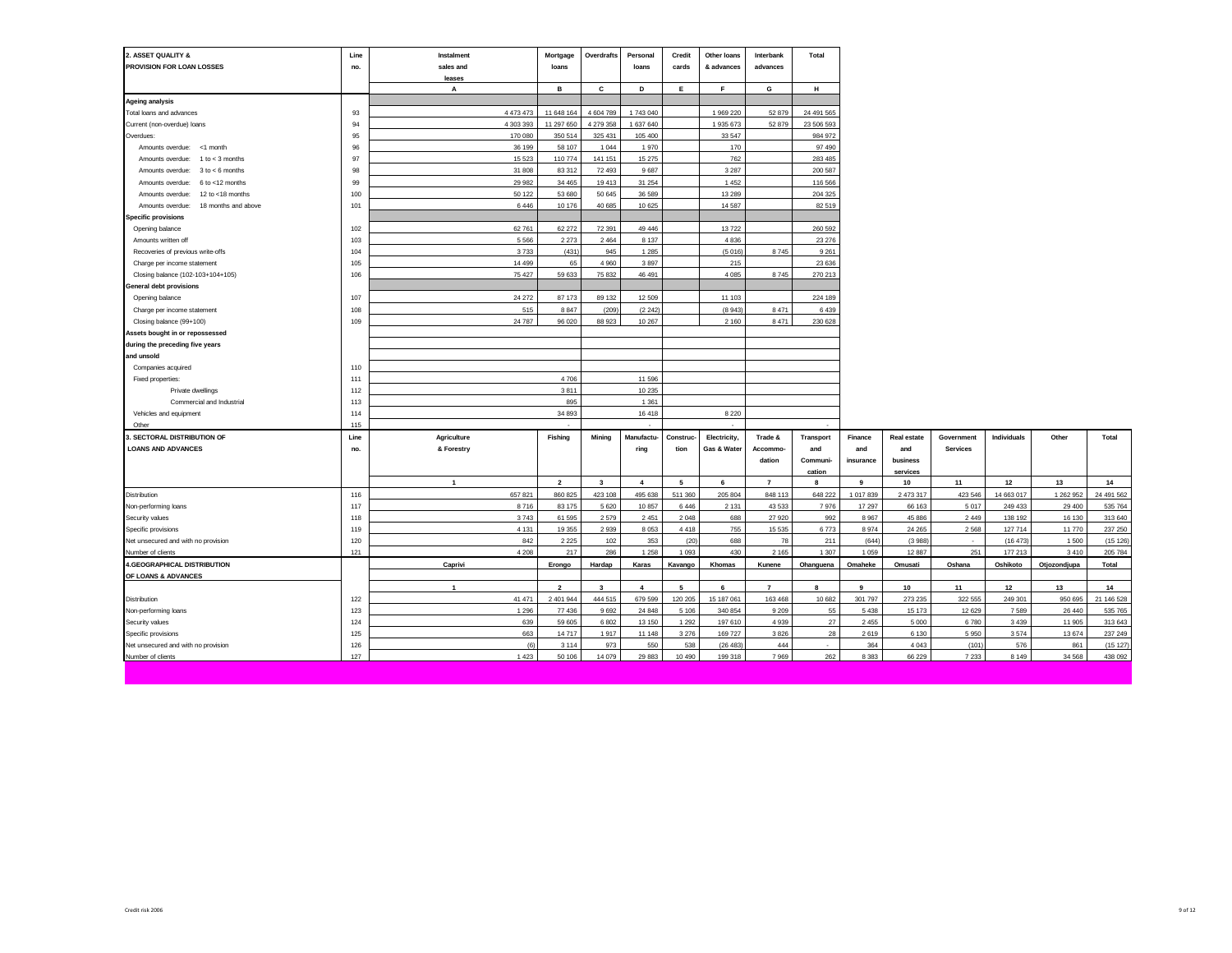| 2. ASSET QUALITY &<br>PROVISION FOR LOAN LOSSES | Line<br>no. | Instalment<br>sales and | Mortgage<br>loans | Overdrafts   | Personal<br>loans | Credit<br>cards | Other loans<br>& advances | Interbank<br>advances | Total           |           |             |                 |             |              |            |
|-------------------------------------------------|-------------|-------------------------|-------------------|--------------|-------------------|-----------------|---------------------------|-----------------------|-----------------|-----------|-------------|-----------------|-------------|--------------|------------|
|                                                 |             | leases                  |                   |              |                   |                 |                           |                       |                 |           |             |                 |             |              |            |
|                                                 |             | А                       | в                 | c            | D                 | Е               | F                         | G                     | н               |           |             |                 |             |              |            |
| <b>Ageing analysis</b>                          |             |                         |                   |              |                   |                 |                           |                       |                 |           |             |                 |             |              |            |
| Total loans and advances                        | 93          | 4 473 473               | 11 648 164        | 4 604 789    | 1743 040          |                 | 1 969 220                 | 52 879                | 24 491 565      |           |             |                 |             |              |            |
| Current (non-overdue) loans                     | 94          | 4 303 393               | 11 297 650        | 4 279 358    | 1 637 640         |                 | 1 935 673                 | 52 879                | 23 506 593      |           |             |                 |             |              |            |
| Overdues:                                       | 95          | 170 080                 | 350 514           | 325 431      | 105 400           |                 | 33 547                    |                       | 984 972         |           |             |                 |             |              |            |
| Amounts overdue: < 1 month                      | 96          | 36 199                  | 58 107            | 1 0 4 4      | 1970              |                 | 170                       |                       | 97 490          |           |             |                 |             |              |            |
| Amounts overdue:<br>$1$ to $<$ 3 months         | 97          | 15 5 23                 | 110 774           | 141 151      | 15 27 5           |                 | 762                       |                       | 283 485         |           |             |                 |             |              |            |
| Amounts overdue: $3 to < 6$ months              | 98          | 31 808                  | 83 312            | 72 493       | 9687              |                 | 3 2 8 7                   |                       | 200 587         |           |             |                 |             |              |            |
| 6 to <12 months<br>Amounts overdue:             | 99          | 29 982                  | 34 465            | 19413        | 31 254            |                 | 1 4 5 2                   |                       | 116 566         |           |             |                 |             |              |            |
| Amounts overdue:<br>12 to $<$ 18 months         | 100         | 50 122                  | 53 680            | 50 645       | 36 589            |                 | 13 2 8 9                  |                       | 204 325         |           |             |                 |             |              |            |
| 18 months and above<br>Amounts overdue:         | 101         | 6 4 4 6                 | 10 176            | 40 685       | 10 625            |                 | 14 5 87                   |                       | 82 519          |           |             |                 |             |              |            |
| <b>Specific provisions</b>                      |             |                         |                   |              |                   |                 |                           |                       |                 |           |             |                 |             |              |            |
| Opening balance                                 | 102         | 62 761                  | 62 272            | 72 391       | 49 44 6           |                 | 13722                     |                       | 260 592         |           |             |                 |             |              |            |
| Amounts written off                             | 103         | 5 5 6 6                 | 2 2 7 3           | 2 4 6 4      | 8 1 3 7           |                 | 4 8 3 6                   |                       | 23 276          |           |             |                 |             |              |            |
| Recoveries of previous write-offs               | 104         | 3733                    | (431)             | 945          | 1 2 8 5           |                 | (5016)                    | 8745                  | 9 2 6 1         |           |             |                 |             |              |            |
| Charge per income statement                     | 105         | 14 499                  | 65                | 4 9 6 0      | 3897              |                 | 215                       |                       | 23 636          |           |             |                 |             |              |            |
| Closing balance (102-103+104+105)               | 106         | 75 427                  | 59 633            | 75 832       | 46 491            |                 | 4 0 8 5                   | 8745                  | 270 213         |           |             |                 |             |              |            |
| General debt provisions                         |             |                         |                   |              |                   |                 |                           |                       |                 |           |             |                 |             |              |            |
| Opening balance                                 | 107         | 24 27 2                 | 87 173            | 89 132       | 12 509            |                 | 11 103                    |                       | 224 189         |           |             |                 |             |              |            |
| Charge per income statement                     | 108         | 515                     | 8 8 4 7           | (209)        | (2, 242)          |                 | (8943)                    | 8471                  | 6439            |           |             |                 |             |              |            |
| Closing balance (99+100)                        | 109         | 24 787                  | 96 020            | 88 923       | 10 267            |                 | 2 1 6 0                   | 8471                  | 230 628         |           |             |                 |             |              |            |
| Assets bought in or repossessed                 |             |                         |                   |              |                   |                 |                           |                       |                 |           |             |                 |             |              |            |
| during the preceding five years                 |             |                         |                   |              |                   |                 |                           |                       |                 |           |             |                 |             |              |            |
| and unsold                                      |             |                         |                   |              |                   |                 |                           |                       |                 |           |             |                 |             |              |            |
| Companies acquired                              | 110         |                         |                   |              |                   |                 |                           |                       |                 |           |             |                 |             |              |            |
| Fixed properties:                               | 111         |                         | 4706              |              | 11 596            |                 |                           |                       |                 |           |             |                 |             |              |            |
| Private dwellings                               | 112         |                         | 3811              |              | 10 235            |                 |                           |                       |                 |           |             |                 |             |              |            |
| Commercial and Industrial                       | 113         |                         | 895               |              | 1 3 6 1           |                 |                           |                       |                 |           |             |                 |             |              |            |
| Vehicles and equipment                          | 114         |                         | 34 893            |              | 16 418            |                 | 8 2 2 0                   |                       |                 |           |             |                 |             |              |            |
| Other                                           | 115         |                         |                   |              |                   |                 |                           |                       |                 |           |             |                 |             |              |            |
| 3. SECTORAL DISTRIBUTION OF                     | Line        | Agriculture             | Fishing           | Mining       | Manufactu-        | Construc-       | Electricity,              | Trade &               | Transport       | Finance   | Real estate | Government      | Individuals | Other        | Total      |
| <b>LOANS AND ADVANCES</b>                       | no.         | & Forestry              |                   |              | ring              | tion            | Gas & Water               | Accommo-              | and             | and       | and         | <b>Services</b> |             |              |            |
|                                                 |             |                         |                   |              |                   |                 |                           | dation                | <b>Communi-</b> | insurance | business    |                 |             |              |            |
|                                                 |             |                         |                   |              |                   |                 |                           |                       | cation          |           | services    |                 |             |              |            |
|                                                 |             | $\overline{1}$          | $\overline{2}$    | $\mathbf{3}$ | $\overline{4}$    | 5               | 6                         | $\overline{7}$        | 8               | 9         | 10          | 11              | 12          | 13           | 14         |
| Distribution                                    | 116         | 657 821                 | 860 825           | 423 108      | 495 638           | 511 360         | 205 804                   | 848 113               | 648 222         | 1 017 839 | 2 473 317   | 423 546         | 14 663 017  | 1 262 952    | 24 491 562 |
| Non-performing loans                            | 117         | 8716                    | 83 175            | 5 6 20       | 10 857            | 6446            | 2 1 3 1                   | 43 5 33               | 7976            | 17 297    | 66 163      | 5017            | 249 433     | 29 400       | 535 764    |
| Security values                                 | 118         | 3743                    | 61 595            | 2579         | 2 4 5 1           | 2048            | 688                       | 27920                 | 992             | 8967      | 45 886      | 2 4 4 9         | 138 192     | 16 130       | 313 640    |
| Specific provisions                             | 119         | 4 1 3 1                 | 19 355            | 2939         | 8 0 5 3           | 4418            | 755                       | 15 5 35               | 6773            | 8974      | 24 26 5     | 2568            | 127 714     | 11 770       | 237 250    |
| Net unsecured and with no provision             | 120         | 842                     | 2 2 2 5           | 102          | 353               | (20)            | 688                       | 78                    | 211             | (644)     | (3988)      |                 | (16 473)    | 1500         | (15 126)   |
| Number of clients                               | 121         | 4 2 0 8                 | 217               | 286          | 1 2 5 8           | 1093            | 430                       | 2 1 6 5               | 1 3 0 7         | 1059      | 12 8 87     | 251             | 177 213     | 3410         | 205 784    |
| 4.GEOGRAPHICAL DISTRIBUTION                     |             | Caprivi                 | Erongo            | Hardap       | Karas             | Kavango         | Khomas                    | Kunene                | Ohanguena       | Omaheke   | Omusati     | Oshana          | Oshikoto    | Otjozondjupa | Total      |
| OF LOANS & ADVANCES                             |             |                         |                   |              |                   |                 |                           |                       |                 |           |             |                 |             |              |            |
|                                                 |             | $\overline{1}$          | $\overline{2}$    | 3            | 4                 | 5               | 6                         | $\overline{7}$        | 8               | 9         | 10          | 11              | 12          | 13           | 14         |
| Distribution                                    | 122         | 41 471                  | 2 401 944         | 444 515      | 679 599           | 120 205         | 15 187 061                | 163 468               | 10 682          | 301 797   | 273 235     | 322 555         | 249 301     | 950 695      | 21 146 528 |
| Non-performing loans                            | 123         | 1 2 9 6                 | 77 436            | 9692         | 24 848            | 5 1 0 6         | 340 854                   | 9 2 0 9               | 55              | 5438      | 15 173      | 12 6 29         | 7589        | 26 440       | 535 765    |
| Security values                                 | 124         | 639                     | 59 605            | 6 8 0 2      | 13 150            | 1 2 9 2         | 197 610                   | 4939                  | 27              | 2455      | 5 0 0 0     | 6780            | 3 4 3 9     | 11 905       | 313 643    |
| Specific provisions                             | 125         | 663                     | 14717             | 1917         | 11 148            | 3 2 7 6         | 169 727                   | 3826                  | 28              | 2619      | 6 130       | 5950            | 3574        | 13674        | 237 249    |
| Net unsecured and with no provision             | 126         | (6)                     | 3 1 1 4           | 973          | 550               | 538             | (26 483)                  | 444                   |                 | 364       | 4 0 4 3     | (101)           | 576         | 861          | (15 127)   |
| Number of clients                               | 127         | 1423                    | 50 106            | 14 079       | 29 883            | 10 490          | 199 318                   | 7969                  | 262             | 8383      | 66 229      | 7233            | 8 1 4 9     | 34 5 68      | 438 092    |
|                                                 |             |                         |                   |              |                   |                 |                           |                       |                 |           |             |                 |             |              |            |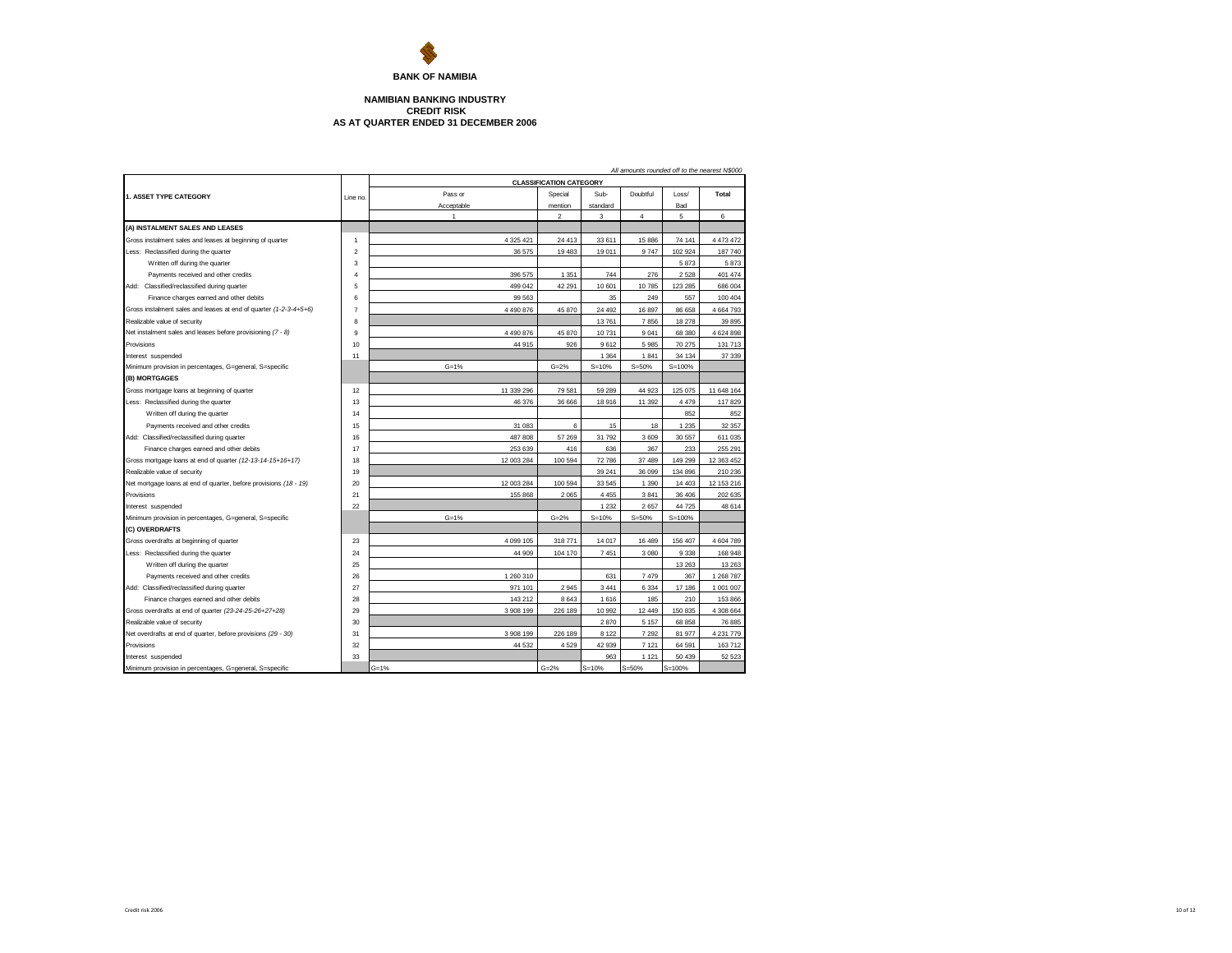

## **NAMIBIAN BANKING INDUSTRY CREDIT RISK AS AT QUARTER ENDED 31 DECEMBER 2006**

| All amounts rounded off to the nearest N\$000                     |                |            |                                |           |                |            |            |  |  |  |
|-------------------------------------------------------------------|----------------|------------|--------------------------------|-----------|----------------|------------|------------|--|--|--|
|                                                                   |                |            | <b>CLASSIFICATION CATEGORY</b> |           |                |            |            |  |  |  |
| 1. ASSET TYPE CATEGORY                                            | Line no        | Pass or    | Special                        | Sub-      | Doubtful       | Loss/      | Total      |  |  |  |
|                                                                   |                | Acceptable | mention                        | standard  |                | Bad        |            |  |  |  |
|                                                                   |                | 1          | $\overline{2}$                 | 3         | $\overline{4}$ | 5          | 6          |  |  |  |
| (A) INSTALMENT SALES AND LEASES                                   |                |            |                                |           |                |            |            |  |  |  |
| Gross instalment sales and leases at beginning of quarter         | 1              | 4 325 421  | 24 413                         | 33 611    | 15 886         | 74 141     | 4 473 472  |  |  |  |
| Less: Reclassified during the quarter                             | $\overline{2}$ | 36 575     | 19 483                         | 19 011    | 9747           | 102 924    | 187 740    |  |  |  |
| Written off during the quarter                                    | 3              |            |                                |           |                | 5873       | 5873       |  |  |  |
| Payments received and other credits                               | 4              | 396 575    | 1 3 5 1                        | 744       | 276            | 2528       | 401 474    |  |  |  |
| Add: Classified/reclassified during quarter                       | 5              | 499 042    | 42 291                         | 10 601    | 10785          | 123 285    | 686 004    |  |  |  |
| Finance charges earned and other debits                           | 6              | 99 563     |                                | 35        | 249            | 557        | 100 404    |  |  |  |
| Gross instalment sales and leases at end of quarter (1-2-3-4+5+6) | $\overline{7}$ | 4 490 876  | 45 870                         | 24 492    | 16 897         | 86 658     | 4 664 793  |  |  |  |
| Realizable value of security                                      | 8              |            |                                | 13761     | 7856           | 18 278     | 39 895     |  |  |  |
| Net instalment sales and leases before provisioning (7 - 8)       | 9              | 4 490 876  | 45 870                         | 10731     | 9 0 4 1        | 68 380     | 4 624 898  |  |  |  |
| Provisions                                                        | 10             | 44 915     | 926                            | 9612      | 5985           | 70 275     | 131 713    |  |  |  |
| Interest suspended                                                | 11             |            |                                | 1 3 6 4   | 1841           | 34 134     | 37 339     |  |  |  |
| Minimum provision in percentages, G=general, S=specific           |                | $G = 1%$   | $G = 2%$                       | $S = 10%$ | $S = 50%$      | $S = 100%$ |            |  |  |  |
| (B) MORTGAGES                                                     |                |            |                                |           |                |            |            |  |  |  |
| Gross mortgage loans at beginning of quarter                      | 12             | 11 339 296 | 79 581                         | 59 289    | 44 923         | 125 075    | 11 648 164 |  |  |  |
| Less: Reclassified during the quarter                             | 13             | 46 376     | 36 666                         | 18 916    | 11 392         | 4479       | 117829     |  |  |  |
| Written off during the quarter                                    | 14             |            |                                |           |                | 852        | 852        |  |  |  |
| Payments received and other credits                               | 15             | 31 083     | 6                              | 15        | 18             | 1 2 3 5    | 32 357     |  |  |  |
| Add: Classified/reclassified during quarter                       | 16             | 487 808    | 57 269                         | 31 792    | 3609           | 30 557     | 611 035    |  |  |  |
| Finance charges earned and other debits                           | 17             | 253 639    | 416                            | 636       | 367            | 233        | 255 291    |  |  |  |
| Gross mortgage loans at end of quarter (12-13-14-15+16+17)        | 18             | 12 003 284 | 100 594                        | 72 786    | 37 489         | 149 299    | 12 363 452 |  |  |  |
| Realizable value of security                                      | 19             |            |                                | 39 241    | 36 099         | 134 896    | 210 236    |  |  |  |
| Net mortgage loans at end of quarter, before provisions (18 - 19) | 20             | 12 003 284 | 100 594                        | 33 545    | 1 3 9 0        | 14 4 03    | 12 153 216 |  |  |  |
| Provisions                                                        | 21             | 155 868    | 2 0 6 5                        | 4 4 5 5   | 3841           | 36 40 6    | 202 635    |  |  |  |
| Interest suspended                                                | 22             |            |                                | 1 2 3 2   | 2657           | 44725      | 48 614     |  |  |  |
| Minimum provision in percentages, G=general, S=specific           |                | $G = 1%$   | $G = 2%$                       | $S = 10%$ | $S = 50%$      | $S = 100%$ |            |  |  |  |
| (C) OVERDRAFTS                                                    |                |            |                                |           |                |            |            |  |  |  |
| Gross overdrafts at beginning of quarter                          | 23             | 4 099 105  | 318 771                        | 14 017    | 16 489         | 156 407    | 4 604 789  |  |  |  |
| Less: Reclassified during the quarter                             | 24             | 44 909     | 104 170                        | 7451      | 3 0 8 0        | 9338       | 168 948    |  |  |  |
| Written off during the quarter                                    | 25             |            |                                |           |                | 13 2 63    | 13 26 3    |  |  |  |
| Payments received and other credits                               | 26             | 1 260 310  |                                | 631       | 7479           | 367        | 1 268 787  |  |  |  |
| Add: Classified/reclassified during quarter                       | 27             | 971 101    | 2 9 4 5                        | 3 4 4 1   | 6 3 3 4        | 17 18 6    | 1 001 007  |  |  |  |
| Finance charges earned and other debits                           | 28             | 143 212    | 8 6 4 3                        | 1616      | 185            | 210        | 153 866    |  |  |  |
| Gross overdrafts at end of quarter (23-24-25-26+27+28)            | 29             | 3 908 199  | 226 189                        | 10 992    | 12 449         | 150 835    | 4 308 664  |  |  |  |
| Realizable value of security                                      | 30             |            |                                | 2870      | 5 1 5 7        | 68 858     | 76 885     |  |  |  |
| Net overdrafts at end of quarter, before provisions (29 - 30)     | 31             | 3 908 199  | 226 189                        | 8 1 2 2   | 7 2 9 2        | 81 977     | 4 231 779  |  |  |  |
| Provisions                                                        | 32             | 44 532     | 4529                           | 42 939    | 7 1 2 1        | 64 591     | 163712     |  |  |  |
| Interest suspended                                                | 33             |            |                                | 963       | 1 1 2 1        | 50 439     | 52 523     |  |  |  |
| Minimum provision in percentages, G=general, S=specific           |                | $G = 1%$   | $G = 2%$                       | $S = 10%$ | $S = 50%$      | $S = 100%$ |            |  |  |  |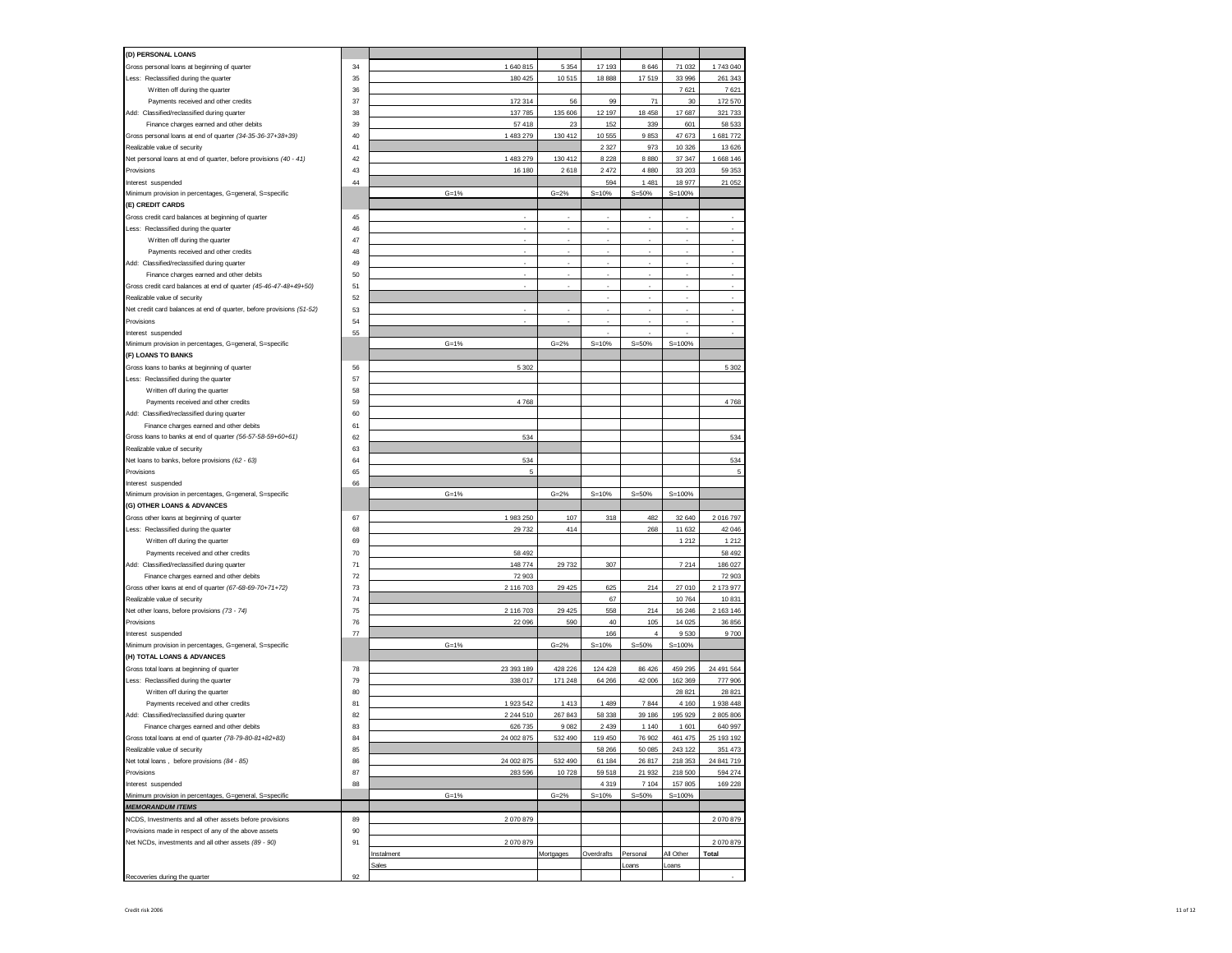| (D) PERSONAL LOANS                                                                                          |    |            |           |            |                |            |            |
|-------------------------------------------------------------------------------------------------------------|----|------------|-----------|------------|----------------|------------|------------|
| Gross personal loans at beginning of quarter                                                                | 34 | 1 640 815  | 5 3 5 4   | 17 193     | 8 6 4 6        | 71 032     | 1743 040   |
| Less: Reclassified during the quarter                                                                       | 35 | 180 425    | 10515     | 18888      | 17519          | 33 996     | 261 343    |
| Written off during the quarter                                                                              | 36 |            |           |            |                | 7621       | 7621       |
| Payments received and other credits                                                                         | 37 | 172 314    | 56        | 99         | 71             | 30         | 172 570    |
| Add: Classified/reclassified during quarter                                                                 | 38 | 137 785    | 135 606   | 12 197     | 18 45 8        | 17687      | 321 733    |
| Finance charges earned and other debits                                                                     | 39 | 57 418     | 23        | 152        | 339            | 601        | 58 533     |
| Gross personal loans at end of quarter (34-35-36-37+38+39)                                                  | 40 | 1 483 279  | 130 412   | 10 555     | 9853           | 47673      | 1681772    |
| Realizable value of security                                                                                | 41 |            |           | 2 3 2 7    | 973            | 10 3 26    | 13 6 26    |
| Net personal loans at end of quarter, before provisions (40 - 41)                                           | 42 | 1 483 279  | 130 412   | 8 2 2 8    | 8880           | 37 347     | 1 668 146  |
| Provisions                                                                                                  | 43 | 16 180     | 2618      | 2472       | 4 8 8 0        | 33 203     | 59 353     |
| Interest suspended                                                                                          | 44 |            |           | 594        | 1 4 8 1        | 18977      | 21 052     |
| Minimum provision in percentages, G=general, S=specific                                                     |    | $G = 1%$   | $G = 2%$  | $S = 10%$  | $S = 50%$      | $S = 100%$ |            |
| (E) CREDIT CARDS                                                                                            |    |            |           |            |                |            |            |
| Gross credit card balances at beginning of quarter                                                          | 45 | ٠          | ٠         | ×          | ٠              | ٠          | ٠          |
| Less: Reclassified during the quarter                                                                       | 46 |            |           | ×          | ×.             |            | ٠          |
| Written off during the quarter                                                                              | 47 | ٠          | ×         | ×          | ÷              | ×          | $\sim$     |
| Payments received and other credits                                                                         | 48 |            |           |            |                |            |            |
|                                                                                                             | 49 | ٠          | ×         | ×          | ÷              | i.         | ×.         |
| Add: Classified/reclassified during quarter                                                                 | 50 |            |           |            |                |            |            |
| Finance charges earned and other debits<br>Gross credit card balances at end of quarter (45-46-47-48+49+50) | 51 | ×,         | ä,        | ×,         | ä,             | ł,         | ×          |
| Realizable value of security                                                                                | 52 |            |           |            |                |            |            |
|                                                                                                             |    |            |           | à,         | ä,             |            | ×.         |
| Net credit card balances at end of quarter, before provisions (51-52)                                       | 53 |            |           |            |                |            |            |
| Provisions                                                                                                  | 54 |            |           |            |                |            | ä,         |
| Interest suspended                                                                                          | 55 |            |           |            | ä,             |            |            |
| Minimum provision in percentages, G=general, S=specific                                                     |    | $G = 1%$   | $G = 2%$  | $S = 10%$  | $S = 50%$      | $S = 100%$ |            |
| (F) LOANS TO BANKS                                                                                          |    |            |           |            |                |            |            |
| Gross loans to banks at beginning of quarter                                                                | 56 | 5 3 0 2    |           |            |                |            | 5 3 0 2    |
| Less: Reclassified during the quarter                                                                       | 57 |            |           |            |                |            |            |
| Written off during the quarter                                                                              | 58 |            |           |            |                |            |            |
| Payments received and other credits                                                                         | 59 | 4768       |           |            |                |            | 4768       |
| Add: Classified/reclassified during quarter                                                                 | 60 |            |           |            |                |            |            |
| Finance charges earned and other debits                                                                     | 61 |            |           |            |                |            |            |
| Gross loans to banks at end of quarter (56-57-58-59+60+61)                                                  | 62 | 534        |           |            |                |            | 534        |
| Realizable value of security                                                                                | 63 |            |           |            |                |            |            |
| Net loans to banks, before provisions (62 - 63)                                                             | 64 | 534        |           |            |                |            | 534        |
| Provisions                                                                                                  | 65 | 5          |           |            |                |            | 5          |
| Interest suspended                                                                                          | 66 |            |           |            |                |            |            |
| Minimum provision in percentages, G=general, S=specific                                                     |    | $G = 1%$   | $G = 2%$  | $S = 10%$  | $S = 50%$      | $S = 100%$ |            |
| (G) OTHER LOANS & ADVANCES                                                                                  |    |            |           |            |                |            |            |
| Gross other loans at beginning of quarter                                                                   | 67 | 1 983 250  | 107       | 318        | 482            | 32 640     | 2 016 797  |
| Less: Reclassified during the quarter                                                                       | 68 | 29 732     | 414       |            | 268            | 11 632     | 42 046     |
| Written off during the quarter                                                                              | 69 |            |           |            |                | 1212       | 1 2 1 2    |
| Payments received and other credits                                                                         | 70 | 58 492     |           |            |                |            |            |
| Add: Classified/reclassified during quarter                                                                 |    |            |           |            |                |            | 58 492     |
| Finance charges earned and other debits                                                                     | 71 | 148 774    | 29 732    | 307        |                | 7214       | 186 027    |
|                                                                                                             | 72 | 72 903     |           |            |                |            | 72 903     |
| Gross other loans at end of quarter (67-68-69-70+71+72)                                                     | 73 | 2 116 703  | 29 4 25   | 625        | 214            | 27 010     | 2 173 977  |
| Realizable value of security                                                                                | 74 |            |           | 67         |                | 10764      | 10 831     |
| Net other loans, before provisions (73 - 74)                                                                | 75 | 2 116 703  | 29 4 25   | 558        | 214            | 16 24 6    | 2 163 146  |
| Provisions                                                                                                  | 76 | 22 096     | 590       | 40         | 105            | 14 0 25    | 36 856     |
| Interest suspended                                                                                          | 77 |            |           | 166        | $\overline{4}$ | 9530       | 9700       |
| Minimum provision in percentages, G=general, S=specific                                                     |    | $G = 1%$   | $G = 2%$  | $S = 10%$  | $S = 50%$      | $S = 100%$ |            |
| (H) TOTAL LOANS & ADVANCES                                                                                  |    |            |           |            |                |            |            |
| Gross total loans at beginning of quarter                                                                   | 78 | 23 393 189 | 428 226   | 124 428    | 86 426         | 459 295    | 24 491 564 |
| Less: Reclassified during the quarter                                                                       | 79 | 338 017    | 171 248   | 64 266     | 42 006         | 162 369    | 777 906    |
| Written off during the quarter                                                                              | 80 |            |           |            |                | 28 8 21    | 28 821     |
| Payments received and other credits                                                                         | 81 | 1 923 542  | 1 4 1 3   | 1 4 8 9    | 7844           | 4 1 6 0    | 1 938 448  |
| Add: Classified/reclassified during quarter                                                                 | 82 | 2 244 510  | 267 843   | 58 338     | 39 186         | 195 929    | 2 805 806  |
| Finance charges earned and other debits                                                                     | 83 | 626 735    | 9 0 8 2   | 2 4 3 9    | 1 1 4 0        | 1601       | 640 997    |
| Gross total loans at end of quarter (78-79-80-81+82+83)                                                     | 84 | 24 002 875 | 532 490   | 119 450    | 76 902         | 461 475    | 25 193 192 |
| Realizable value of security                                                                                | 85 |            |           | 58 266     | 50 085         | 243 122    | 351 473    |
| Net total loans, before provisions (84 - 85)                                                                | 86 | 24 002 875 | 532 490   | 61 184     | 26 817         | 218 353    | 24 841 719 |
| Provisions                                                                                                  | 87 | 283 596    | 10728     | 59 518     | 21 932         | 218 500    | 594 274    |
| Interest suspended                                                                                          | 88 |            |           | 4 3 1 9    | 7 1 0 4        | 157 805    | 169 228    |
| Minimum provision in percentages, G=general, S=specific                                                     |    | $G = 1%$   | $G = 2%$  | $S = 10%$  | $S = 50%$      | $S = 100%$ |            |
| <b>MEMORANDUM ITEMS</b>                                                                                     |    |            |           |            |                |            |            |
| NCDS, Investments and all other assets before provisions                                                    | 89 | 2070879    |           |            |                |            | 2070879    |
| Provisions made in respect of any of the above assets                                                       | 90 |            |           |            |                |            |            |
| Net NCDs, investments and all other assets (89 - 90)                                                        | 91 | 2 070 879  |           |            |                |            | 2 070 879  |
|                                                                                                             |    | Instalment | Mortgages | Overdrafts | Personal       | All Other  | Total      |
|                                                                                                             |    | Sales      |           |            | Loans          | cans       |            |